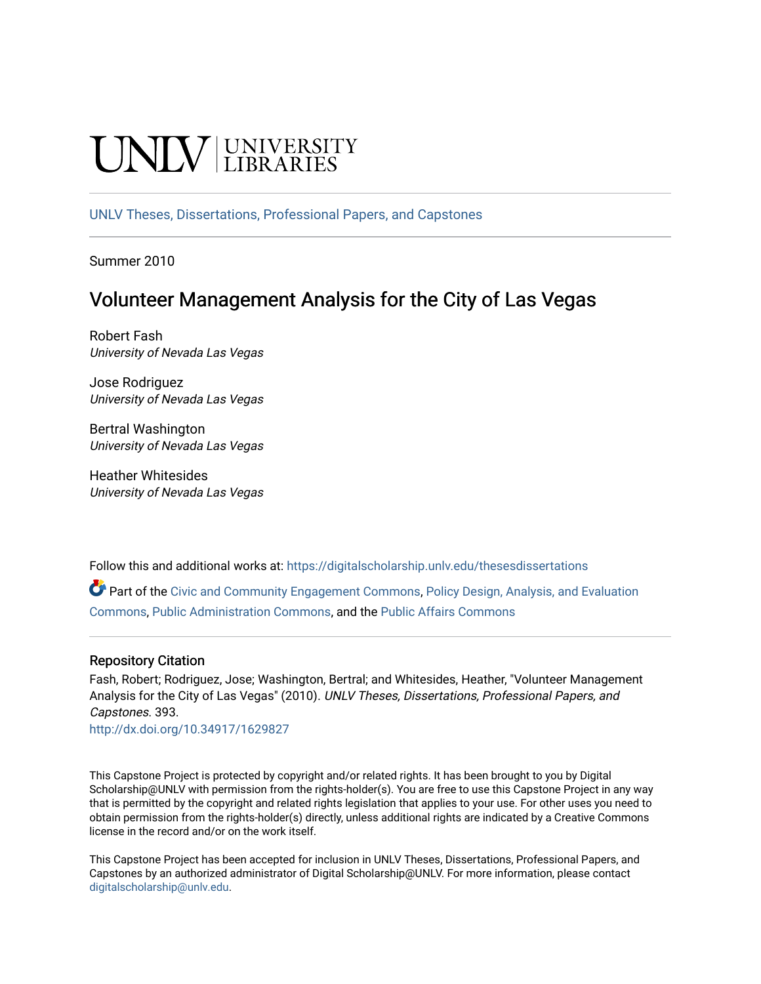# **CINITY** UNIVERSITY

[UNLV Theses, Dissertations, Professional Papers, and Capstones](https://digitalscholarship.unlv.edu/thesesdissertations)

Summer 2010

## Volunteer Management Analysis for the City of Las Vegas

Robert Fash University of Nevada Las Vegas

Jose Rodriguez University of Nevada Las Vegas

Bertral Washington University of Nevada Las Vegas

Heather Whitesides University of Nevada Las Vegas

Follow this and additional works at: [https://digitalscholarship.unlv.edu/thesesdissertations](https://digitalscholarship.unlv.edu/thesesdissertations?utm_source=digitalscholarship.unlv.edu%2Fthesesdissertations%2F393&utm_medium=PDF&utm_campaign=PDFCoverPages)

Part of the [Civic and Community Engagement Commons](http://network.bepress.com/hgg/discipline/1028?utm_source=digitalscholarship.unlv.edu%2Fthesesdissertations%2F393&utm_medium=PDF&utm_campaign=PDFCoverPages), [Policy Design, Analysis, and Evaluation](http://network.bepress.com/hgg/discipline/1032?utm_source=digitalscholarship.unlv.edu%2Fthesesdissertations%2F393&utm_medium=PDF&utm_campaign=PDFCoverPages) [Commons](http://network.bepress.com/hgg/discipline/1032?utm_source=digitalscholarship.unlv.edu%2Fthesesdissertations%2F393&utm_medium=PDF&utm_campaign=PDFCoverPages), [Public Administration Commons](http://network.bepress.com/hgg/discipline/398?utm_source=digitalscholarship.unlv.edu%2Fthesesdissertations%2F393&utm_medium=PDF&utm_campaign=PDFCoverPages), and the [Public Affairs Commons](http://network.bepress.com/hgg/discipline/399?utm_source=digitalscholarship.unlv.edu%2Fthesesdissertations%2F393&utm_medium=PDF&utm_campaign=PDFCoverPages) 

## Repository Citation

Fash, Robert; Rodriguez, Jose; Washington, Bertral; and Whitesides, Heather, "Volunteer Management Analysis for the City of Las Vegas" (2010). UNLV Theses, Dissertations, Professional Papers, and Capstones. 393.

<http://dx.doi.org/10.34917/1629827>

This Capstone Project is protected by copyright and/or related rights. It has been brought to you by Digital Scholarship@UNLV with permission from the rights-holder(s). You are free to use this Capstone Project in any way that is permitted by the copyright and related rights legislation that applies to your use. For other uses you need to obtain permission from the rights-holder(s) directly, unless additional rights are indicated by a Creative Commons license in the record and/or on the work itself.

This Capstone Project has been accepted for inclusion in UNLV Theses, Dissertations, Professional Papers, and Capstones by an authorized administrator of Digital Scholarship@UNLV. For more information, please contact [digitalscholarship@unlv.edu](mailto:digitalscholarship@unlv.edu).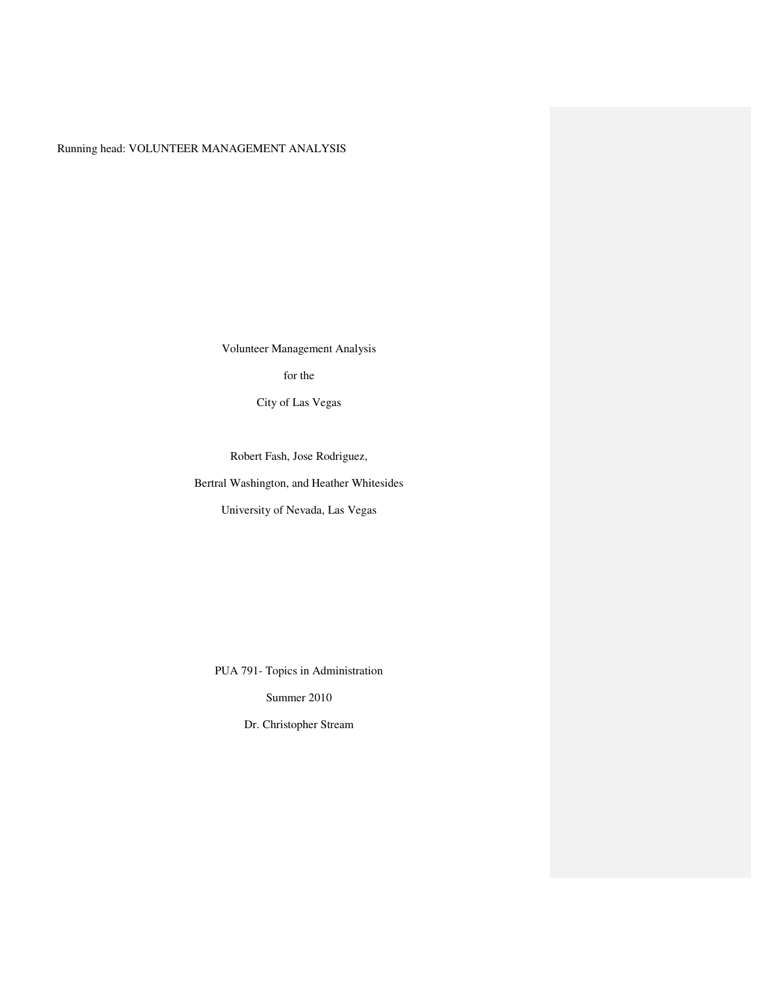## Running head: VOLUNTEER MANAGEMENT ANALYSIS

Volunteer Management Analysis

for the

City of Las Vegas

Robert Fash, Jose Rodriguez,

Bertral Washington, and Heather Whitesides

University of Nevada, Las Vegas

PUA 791- Topics in Administration

Summer 2010

Dr. Christopher Stream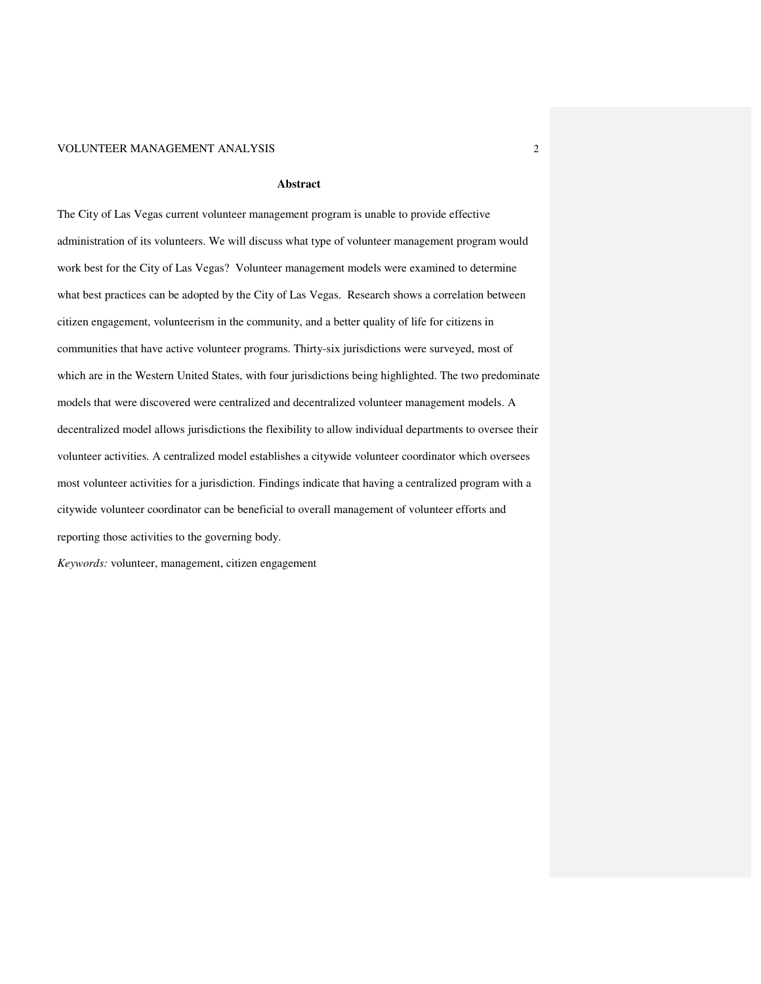#### **Abstract**

The City of Las Vegas current volunteer management program is unable to provide effective administration of its volunteers. We will discuss what type of volunteer management program would work best for the City of Las Vegas? Volunteer management models were examined to determine what best practices can be adopted by the City of Las Vegas. Research shows a correlation between citizen engagement, volunteerism in the community, and a better quality of life for citizens in communities that have active volunteer programs. Thirty-six jurisdictions were surveyed, most of which are in the Western United States, with four jurisdictions being highlighted. The two predominate models that were discovered were centralized and decentralized volunteer management models. A decentralized model allows jurisdictions the flexibility to allow individual departments to oversee their volunteer activities. A centralized model establishes a citywide volunteer coordinator which oversees most volunteer activities for a jurisdiction. Findings indicate that having a centralized program with a citywide volunteer coordinator can be beneficial to overall management of volunteer efforts and reporting those activities to the governing body.

*Keywords:* volunteer, management, citizen engagement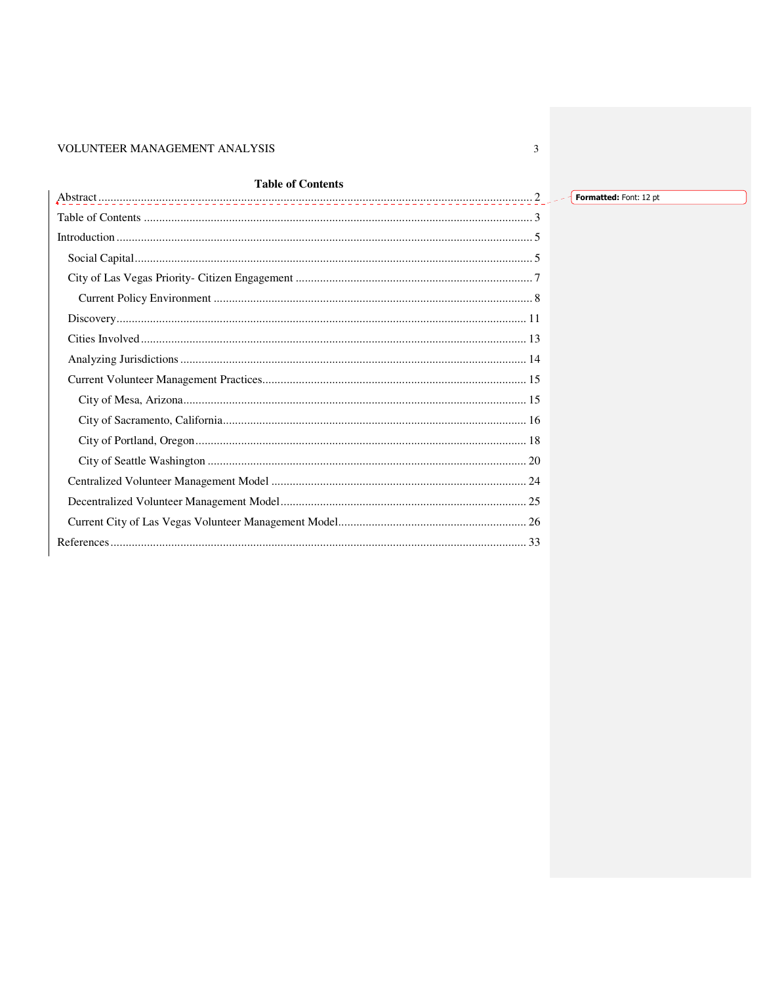## **Table of Contents**

 $\overline{3}$ 

Formatted: Font: 12 pt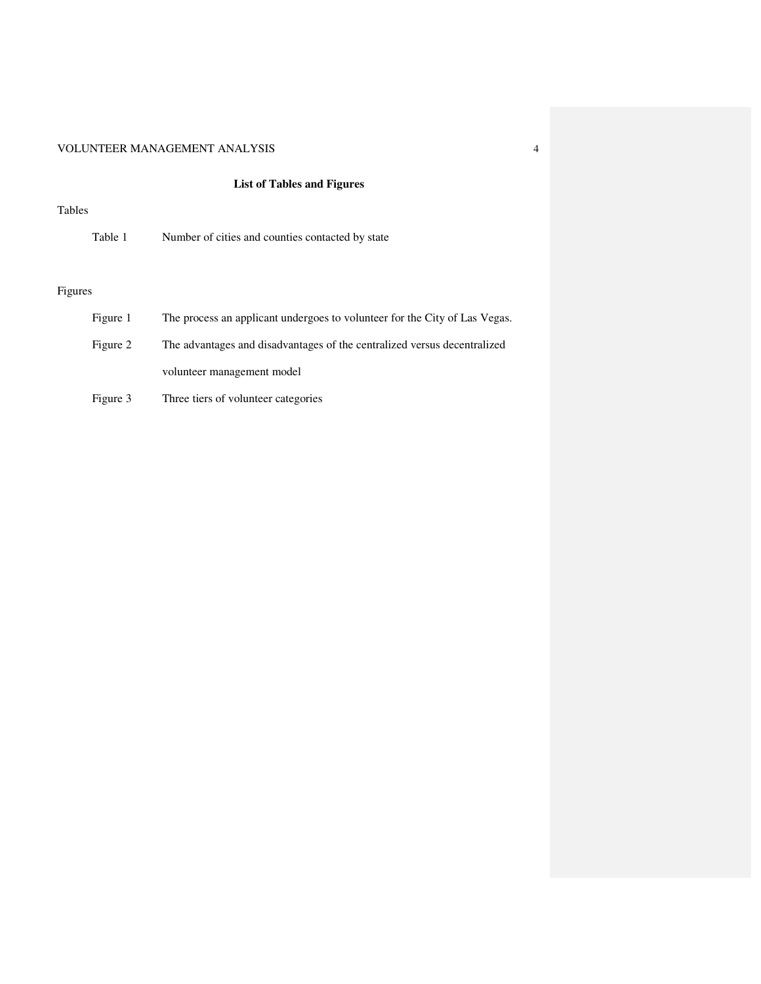## **List of Tables and Figures**

#### Tables

| Table 1  | Number of cities and counties contacted by state                           |  |  |  |
|----------|----------------------------------------------------------------------------|--|--|--|
|          |                                                                            |  |  |  |
| Figures  |                                                                            |  |  |  |
| Figure 1 | The process an applicant undergoes to volunteer for the City of Las Vegas. |  |  |  |

- Figure 2 The advantages and disadvantages of the centralized versus decentralized volunteer management model
- Figure 3 Three tiers of volunteer categories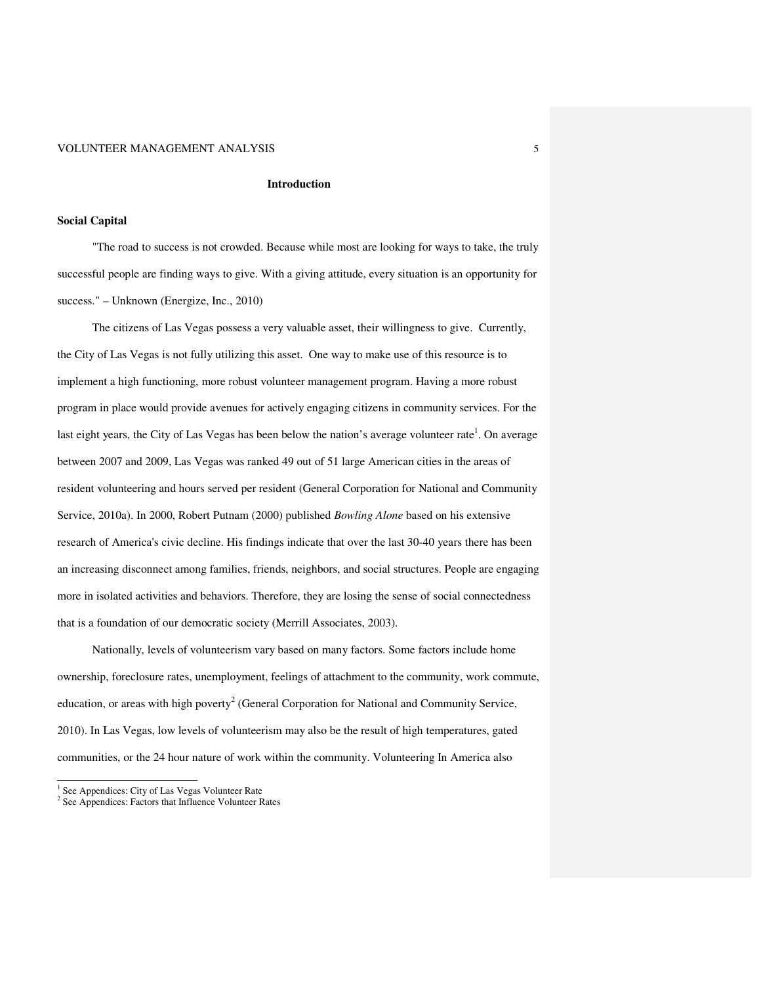#### **Introduction**

#### **Social Capital**

"The road to success is not crowded. Because while most are looking for ways to take, the truly successful people are finding ways to give. With a giving attitude, every situation is an opportunity for success." – Unknown (Energize, Inc., 2010)

The citizens of Las Vegas possess a very valuable asset, their willingness to give. Currently, the City of Las Vegas is not fully utilizing this asset. One way to make use of this resource is to implement a high functioning, more robust volunteer management program. Having a more robust program in place would provide avenues for actively engaging citizens in community services. For the last eight years, the City of Las Vegas has been below the nation's average volunteer rate<sup>1</sup>. On average between 2007 and 2009, Las Vegas was ranked 49 out of 51 large American cities in the areas of resident volunteering and hours served per resident (General Corporation for National and Community Service, 2010a). In 2000, Robert Putnam (2000) published *Bowling Alone* based on his extensive research of America's civic decline. His findings indicate that over the last 30-40 years there has been an increasing disconnect among families, friends, neighbors, and social structures. People are engaging more in isolated activities and behaviors. Therefore, they are losing the sense of social connectedness that is a foundation of our democratic society (Merrill Associates, 2003).

Nationally, levels of volunteerism vary based on many factors. Some factors include home ownership, foreclosure rates, unemployment, feelings of attachment to the community, work commute, education, or areas with high poverty<sup>2</sup> (General Corporation for National and Community Service, 2010). In Las Vegas, low levels of volunteerism may also be the result of high temperatures, gated communities, or the 24 hour nature of work within the community. Volunteering In America also

 1 See Appendices: City of Las Vegas Volunteer Rate

<sup>&</sup>lt;sup>2</sup> See Appendices: Factors that Influence Volunteer Rates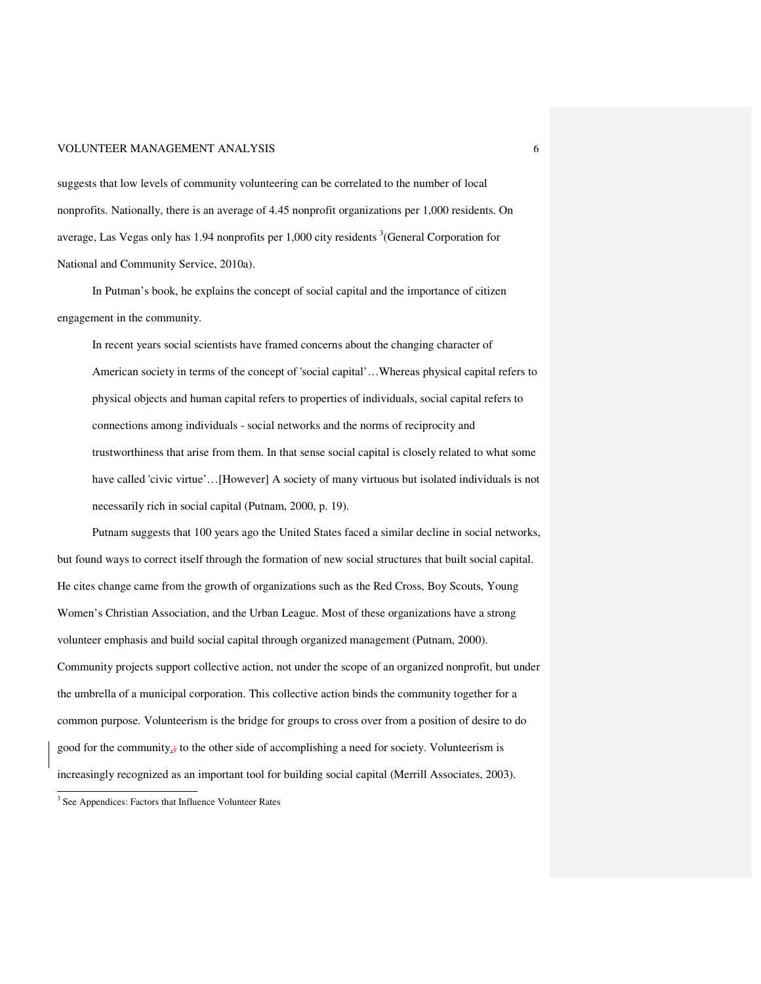suggests that low levels of community volunteering can be correlated to the number of local nonprofits. Nationally, there is an average of 4.45 nonprofit organizations per 1,000 residents. On average, Las Vegas only has 1.94 nonprofits per 1,000 city residents  $\frac{3}{3}$  (General Corporation for National and Community Service, 2010a).

In Putman's book, he explains the concept of social capital and the importance of citizen engagement in the community.

In recent years social scientists have framed concerns about the changing character of American society in terms of the concept of 'social capital'…Whereas physical capital refers to physical objects and human capital refers to properties of individuals, social capital refers to connections among individuals - social networks and the norms of reciprocity and trustworthiness that arise from them. In that sense social capital is closely related to what some have called 'civic virtue'…[However] A society of many virtuous but isolated individuals is not necessarily rich in social capital (Putnam, 2000, p. 19).

Putnam suggests that 100 years ago the United States faced a similar decline in social networks, but found ways to correct itself through the formation of new social structures that built social capital. He cites change came from the growth of organizations such as the Red Cross, Boy Scouts, Young Women's Christian Association, and the Urban League. Most of these organizations have a strong volunteer emphasis and build social capital through organized management (Putnam, 2000). Community projects support collective action, not under the scope of an organized nonprofit, but under the umbrella of a municipal corporation. This collective action binds the community together for a common purpose. Volunteerism is the bridge for groups to cross over from a position of desire to do good for the community, $\frac{1}{x}$  to the other side of accomplishing a need for society. Volunteerism is increasingly recognized as an important tool for building social capital (Merrill Associates, 2003).

 3 See Appendices: Factors that Influence Volunteer Rates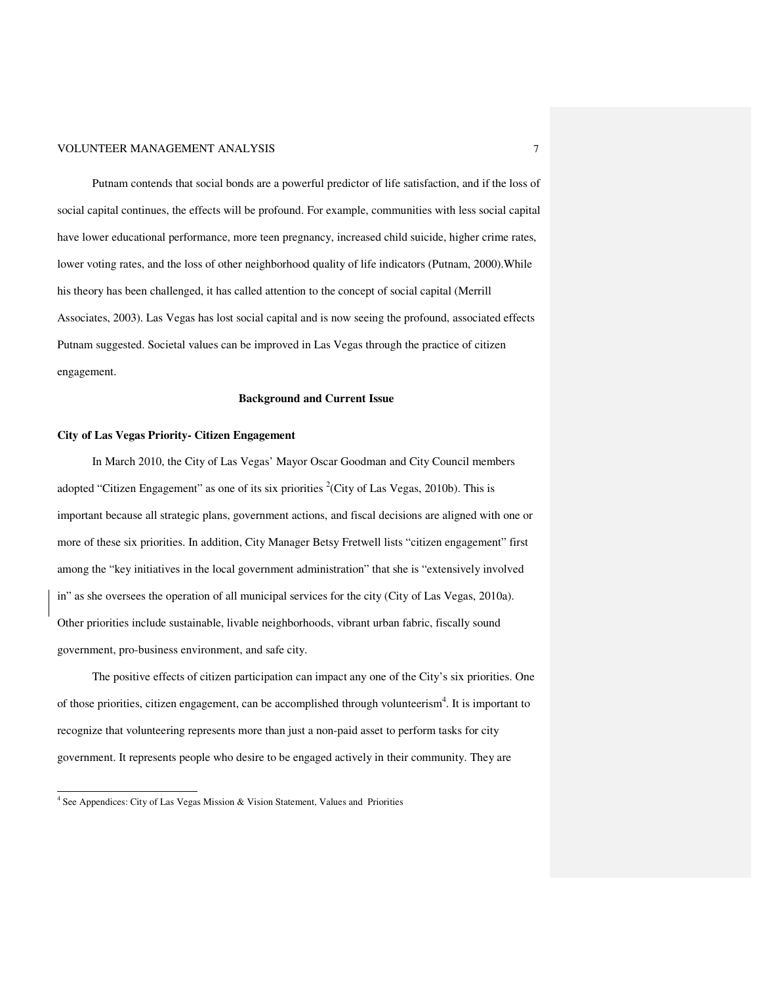Putnam contends that social bonds are a powerful predictor of life satisfaction, and if the loss of social capital continues, the effects will be profound. For example, communities with less social capital have lower educational performance, more teen pregnancy, increased child suicide, higher crime rates, lower voting rates, and the loss of other neighborhood quality of life indicators (Putnam, 2000).While his theory has been challenged, it has called attention to the concept of social capital (Merrill Associates, 2003). Las Vegas has lost social capital and is now seeing the profound, associated effects Putnam suggested. Societal values can be improved in Las Vegas through the practice of citizen engagement.

#### **Background and Current Issue**

#### **City of Las Vegas Priority- Citizen Engagement**

In March 2010, the City of Las Vegas' Mayor Oscar Goodman and City Council members adopted "Citizen Engagement" as one of its six priorities  ${}^{2}$ (City of Las Vegas, 2010b). This is important because all strategic plans, government actions, and fiscal decisions are aligned with one or more of these six priorities. In addition, City Manager Betsy Fretwell lists "citizen engagement" first among the "key initiatives in the local government administration" that she is "extensively involved in" as she oversees the operation of all municipal services for the city (City of Las Vegas, 2010a). Other priorities include sustainable, livable neighborhoods, vibrant urban fabric, fiscally sound government, pro-business environment, and safe city.

The positive effects of citizen participation can impact any one of the City's six priorities. One of those priorities, citizen engagement, can be accomplished through volunteerism<sup>4</sup>. It is important to recognize that volunteering represents more than just a non-paid asset to perform tasks for city government. It represents people who desire to be engaged actively in their community. They are

 4 See Appendices: City of Las Vegas Mission & Vision Statement, Values and Priorities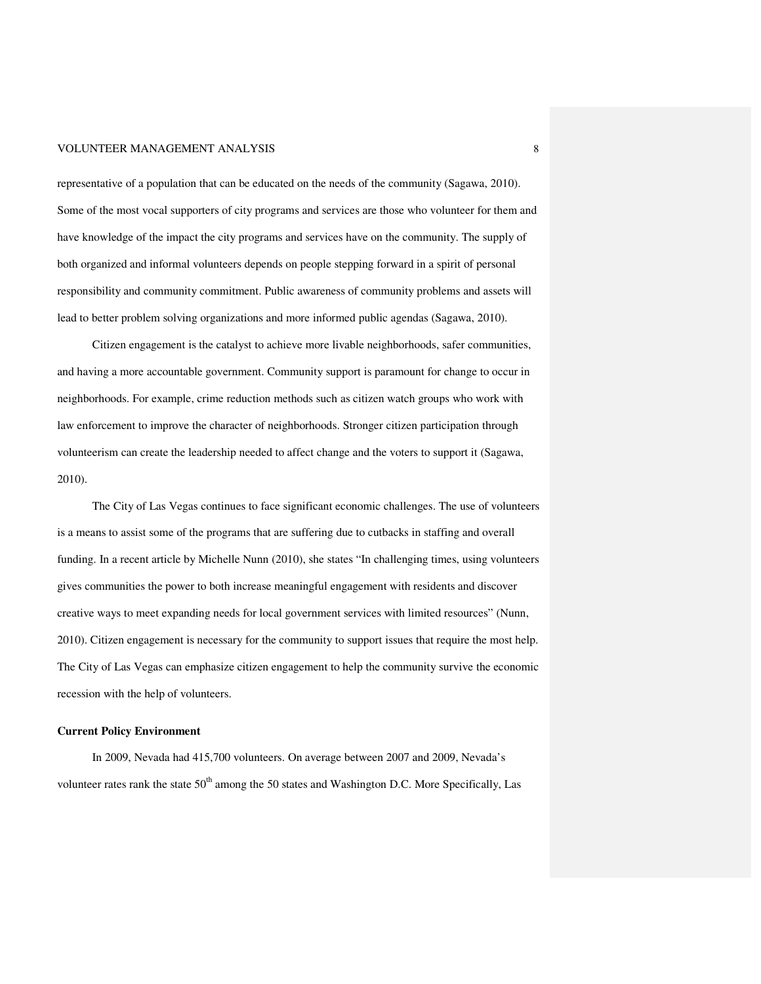representative of a population that can be educated on the needs of the community (Sagawa, 2010). Some of the most vocal supporters of city programs and services are those who volunteer for them and have knowledge of the impact the city programs and services have on the community. The supply of both organized and informal volunteers depends on people stepping forward in a spirit of personal responsibility and community commitment. Public awareness of community problems and assets will lead to better problem solving organizations and more informed public agendas (Sagawa, 2010).

Citizen engagement is the catalyst to achieve more livable neighborhoods, safer communities, and having a more accountable government. Community support is paramount for change to occur in neighborhoods. For example, crime reduction methods such as citizen watch groups who work with law enforcement to improve the character of neighborhoods. Stronger citizen participation through volunteerism can create the leadership needed to affect change and the voters to support it (Sagawa, 2010).

The City of Las Vegas continues to face significant economic challenges. The use of volunteers is a means to assist some of the programs that are suffering due to cutbacks in staffing and overall funding. In a recent article by Michelle Nunn (2010), she states "In challenging times, using volunteers gives communities the power to both increase meaningful engagement with residents and discover creative ways to meet expanding needs for local government services with limited resources" (Nunn, 2010). Citizen engagement is necessary for the community to support issues that require the most help. The City of Las Vegas can emphasize citizen engagement to help the community survive the economic recession with the help of volunteers.

#### **Current Policy Environment**

In 2009, Nevada had 415,700 volunteers. On average between 2007 and 2009, Nevada's volunteer rates rank the state  $50<sup>th</sup>$  among the 50 states and Washington D.C. More Specifically, Las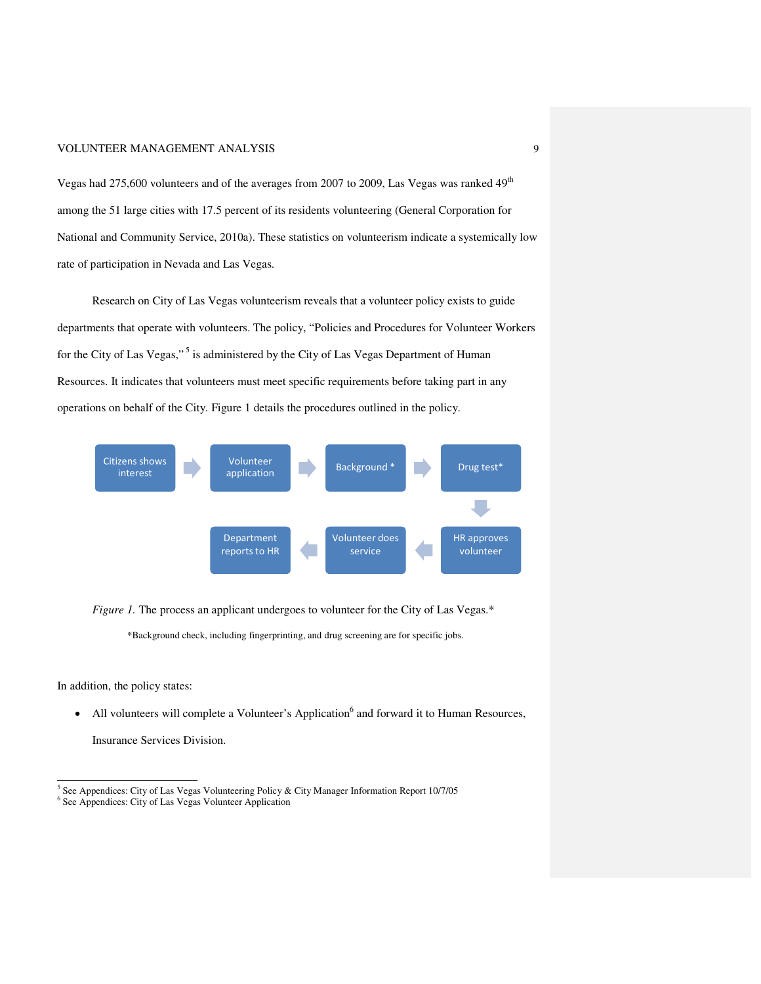Vegas had 275,600 volunteers and of the averages from 2007 to 2009, Las Vegas was ranked 49<sup>th</sup> among the 51 large cities with 17.5 percent of its residents volunteering (General Corporation for National and Community Service, 2010a). These statistics on volunteerism indicate a systemically low rate of participation in Nevada and Las Vegas.

Research on City of Las Vegas volunteerism reveals that a volunteer policy exists to guide departments that operate with volunteers. The policy, "Policies and Procedures for Volunteer Workers for the City of Las Vegas,"<sup>5</sup> is administered by the City of Las Vegas Department of Human Resources. It indicates that volunteers must meet specific requirements before taking part in any operations on behalf of the City. Figure 1 details the procedures outlined in the policy.



*Figure 1*. The process an applicant undergoes to volunteer for the City of Las Vegas.\*

\*Background check, including fingerprinting, and drug screening are for specific jobs.

In addition, the policy states:

• All volunteers will complete a Volunteer's Application<sup>6</sup> and forward it to Human Resources,

Insurance Services Division.

 5 See Appendices: City of Las Vegas Volunteering Policy & City Manager Information Report 10/7/05 6 See Appendices: City of Las Vegas Volunteer Application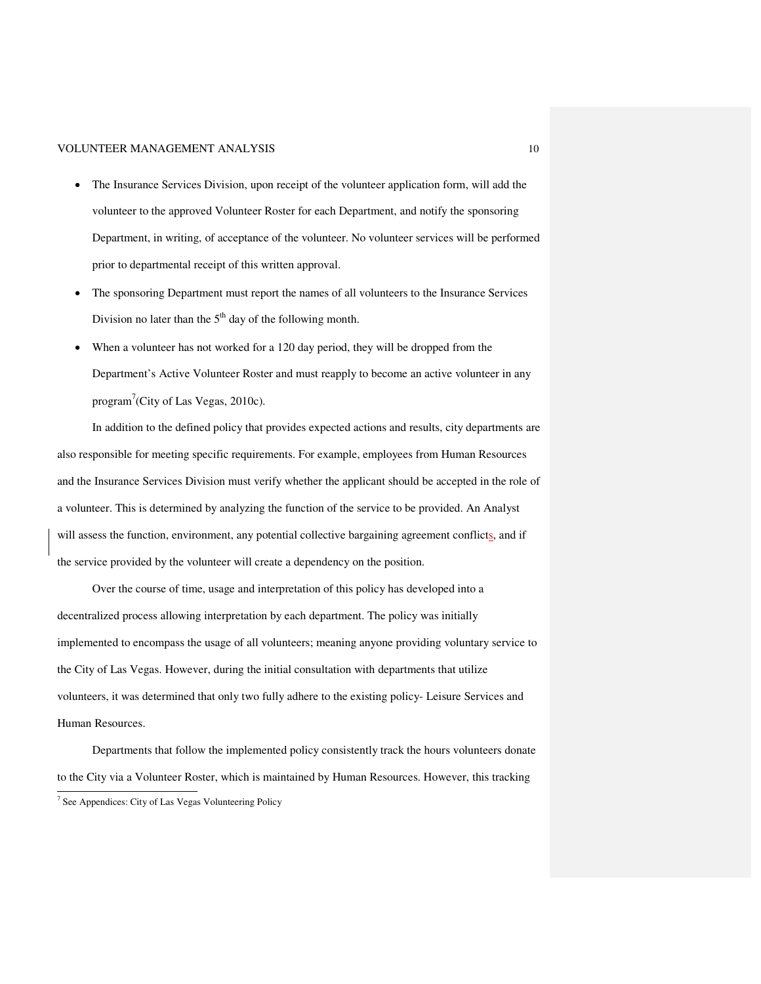- The Insurance Services Division, upon receipt of the volunteer application form, will add the volunteer to the approved Volunteer Roster for each Department, and notify the sponsoring Department, in writing, of acceptance of the volunteer. No volunteer services will be performed prior to departmental receipt of this written approval.
- The sponsoring Department must report the names of all volunteers to the Insurance Services Division no later than the  $5<sup>th</sup>$  day of the following month.
- When a volunteer has not worked for a 120 day period, they will be dropped from the Department's Active Volunteer Roster and must reapply to become an active volunteer in any program<sup>7</sup>(City of Las Vegas, 2010c).

In addition to the defined policy that provides expected actions and results, city departments are also responsible for meeting specific requirements. For example, employees from Human Resources and the Insurance Services Division must verify whether the applicant should be accepted in the role of a volunteer. This is determined by analyzing the function of the service to be provided. An Analyst will assess the function, environment, any potential collective bargaining agreement conflicts, and if the service provided by the volunteer will create a dependency on the position.

Over the course of time, usage and interpretation of this policy has developed into a decentralized process allowing interpretation by each department. The policy was initially implemented to encompass the usage of all volunteers; meaning anyone providing voluntary service to the City of Las Vegas. However, during the initial consultation with departments that utilize volunteers, it was determined that only two fully adhere to the existing policy- Leisure Services and Human Resources.

Departments that follow the implemented policy consistently track the hours volunteers donate to the City via a Volunteer Roster, which is maintained by Human Resources. However, this tracking

 7 See Appendices: City of Las Vegas Volunteering Policy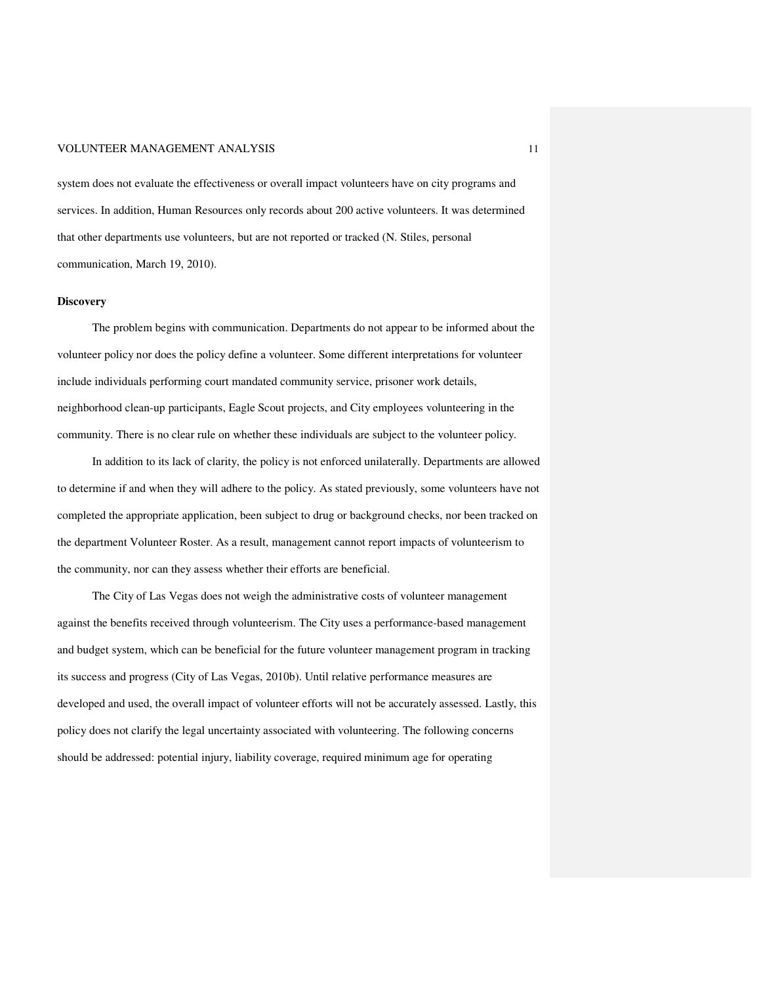system does not evaluate the effectiveness or overall impact volunteers have on city programs and services. In addition, Human Resources only records about 200 active volunteers. It was determined that other departments use volunteers, but are not reported or tracked (N. Stiles, personal communication, March 19, 2010).

#### **Discovery**

The problem begins with communication. Departments do not appear to be informed about the volunteer policy nor does the policy define a volunteer. Some different interpretations for volunteer include individuals performing court mandated community service, prisoner work details, neighborhood clean-up participants, Eagle Scout projects, and City employees volunteering in the community. There is no clear rule on whether these individuals are subject to the volunteer policy.

In addition to its lack of clarity, the policy is not enforced unilaterally. Departments are allowed to determine if and when they will adhere to the policy. As stated previously, some volunteers have not completed the appropriate application, been subject to drug or background checks, nor been tracked on the department Volunteer Roster. As a result, management cannot report impacts of volunteerism to the community, nor can they assess whether their efforts are beneficial.

The City of Las Vegas does not weigh the administrative costs of volunteer management against the benefits received through volunteerism. The City uses a performance-based management and budget system, which can be beneficial for the future volunteer management program in tracking its success and progress (City of Las Vegas, 2010b). Until relative performance measures are developed and used, the overall impact of volunteer efforts will not be accurately assessed. Lastly, this policy does not clarify the legal uncertainty associated with volunteering. The following concerns should be addressed: potential injury, liability coverage, required minimum age for operating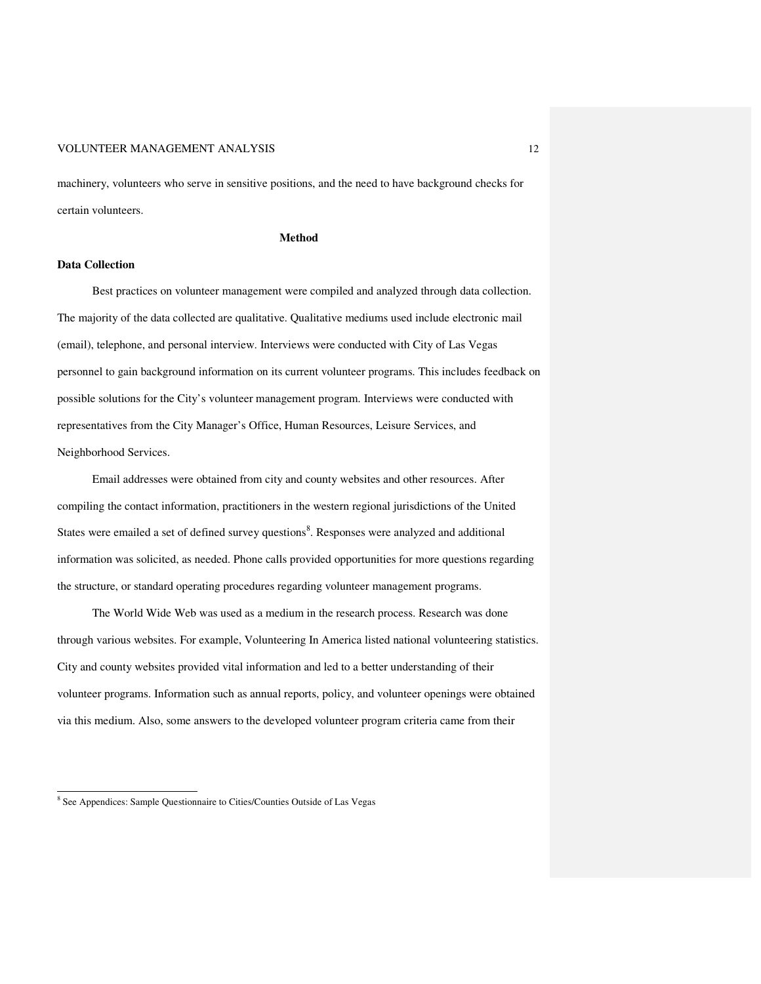machinery, volunteers who serve in sensitive positions, and the need to have background checks for certain volunteers.

**Method** 

#### **Data Collection**

Best practices on volunteer management were compiled and analyzed through data collection. The majority of the data collected are qualitative. Qualitative mediums used include electronic mail (email), telephone, and personal interview. Interviews were conducted with City of Las Vegas personnel to gain background information on its current volunteer programs. This includes feedback on possible solutions for the City's volunteer management program. Interviews were conducted with representatives from the City Manager's Office, Human Resources, Leisure Services, and Neighborhood Services.

Email addresses were obtained from city and county websites and other resources. After compiling the contact information, practitioners in the western regional jurisdictions of the United States were emailed a set of defined survey questions<sup>8</sup>. Responses were analyzed and additional information was solicited, as needed. Phone calls provided opportunities for more questions regarding the structure, or standard operating procedures regarding volunteer management programs.

The World Wide Web was used as a medium in the research process. Research was done through various websites. For example, Volunteering In America listed national volunteering statistics. City and county websites provided vital information and led to a better understanding of their volunteer programs. Information such as annual reports, policy, and volunteer openings were obtained via this medium. Also, some answers to the developed volunteer program criteria came from their

 8 See Appendices: Sample Questionnaire to Cities/Counties Outside of Las Vegas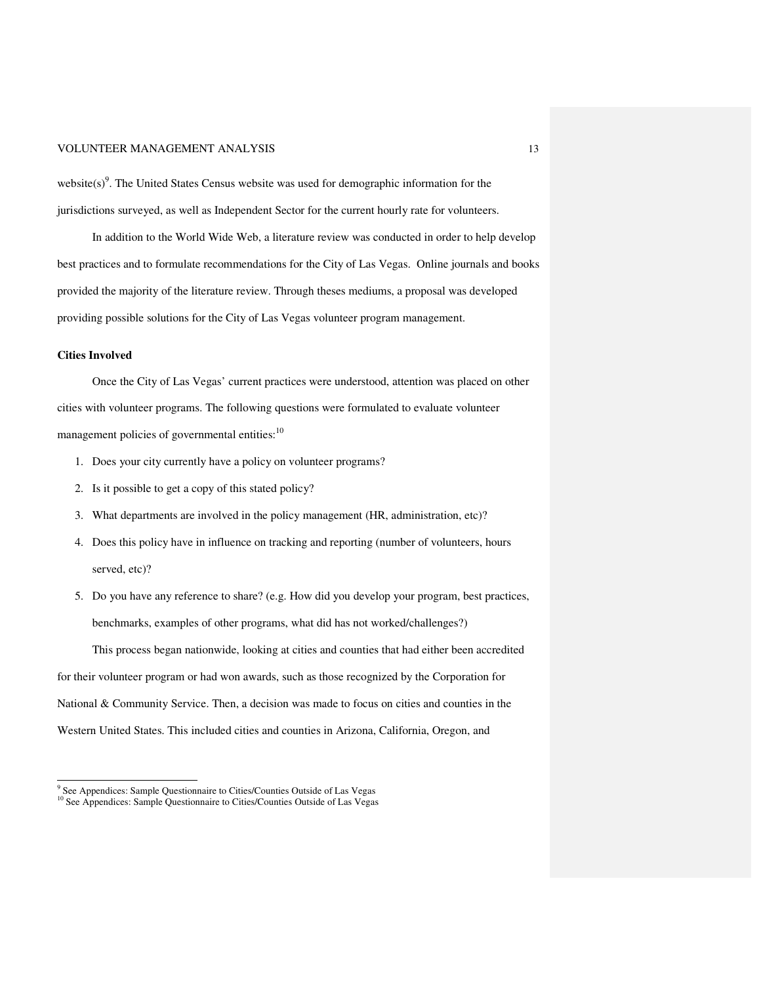website $(s)$ <sup>9</sup>. The United States Census website was used for demographic information for the jurisdictions surveyed, as well as Independent Sector for the current hourly rate for volunteers.

In addition to the World Wide Web, a literature review was conducted in order to help develop best practices and to formulate recommendations for the City of Las Vegas. Online journals and books provided the majority of the literature review. Through theses mediums, a proposal was developed providing possible solutions for the City of Las Vegas volunteer program management.

#### **Cities Involved**

-

Once the City of Las Vegas' current practices were understood, attention was placed on other cities with volunteer programs. The following questions were formulated to evaluate volunteer management policies of governmental entities:<sup>10</sup>

- 1. Does your city currently have a policy on volunteer programs?
- 2. Is it possible to get a copy of this stated policy?
- 3. What departments are involved in the policy management (HR, administration, etc)?
- 4. Does this policy have in influence on tracking and reporting (number of volunteers, hours served, etc)?
- 5. Do you have any reference to share? (e.g. How did you develop your program, best practices, benchmarks, examples of other programs, what did has not worked/challenges?)

This process began nationwide, looking at cities and counties that had either been accredited for their volunteer program or had won awards, such as those recognized by the Corporation for National & Community Service. Then, a decision was made to focus on cities and counties in the Western United States. This included cities and counties in Arizona, California, Oregon, and

<sup>&</sup>lt;sup>9</sup> See Appendices: Sample Questionnaire to Cities/Counties Outside of Las Vegas <sup>10</sup> See Appendices: Sample Questionnaire to Cities/Counties Outside of Las Vegas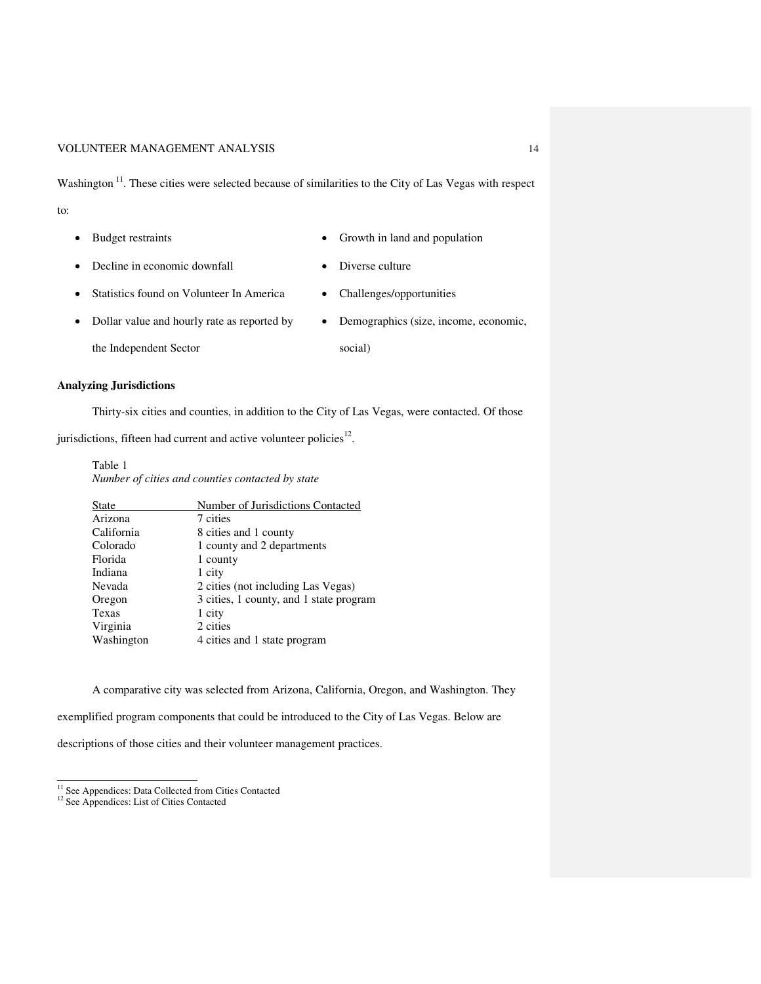Washington<sup>11</sup>. These cities were selected because of similarities to the City of Las Vegas with respect to:

- 
- Budget restraints Growth in land and population
- Decline in economic downfall Diverse culture
- Statistics found on Volunteer In America Challenges/opportunities

social)

- Dollar value and hourly rate as reported by
- Demographics (size, income, economic,
- the Independent Sector

#### **Analyzing Jurisdictions**

Thirty-six cities and counties, in addition to the City of Las Vegas, were contacted. Of those

jurisdictions, fifteen had current and active volunteer policies $12$ .

#### Table 1 *Number of cities and counties contacted by state*

|  |  | rumber of cuies and counties contacted by state |  |
|--|--|-------------------------------------------------|--|
|  |  |                                                 |  |

| Number of Jurisdictions Contacted       |  |  |  |
|-----------------------------------------|--|--|--|
| 7 cities                                |  |  |  |
| 8 cities and 1 county                   |  |  |  |
| 1 county and 2 departments              |  |  |  |
| 1 county                                |  |  |  |
| 1 city                                  |  |  |  |
| 2 cities (not including Las Vegas)      |  |  |  |
| 3 cities, 1 county, and 1 state program |  |  |  |
| 1 city                                  |  |  |  |
| 2 cities                                |  |  |  |
| 4 cities and 1 state program            |  |  |  |
|                                         |  |  |  |

A comparative city was selected from Arizona, California, Oregon, and Washington. They

exemplified program components that could be introduced to the City of Las Vegas. Below are

descriptions of those cities and their volunteer management practices.

-

<sup>&</sup>lt;sup>11</sup> See Appendices: Data Collected from Cities Contacted

<sup>&</sup>lt;sup>12</sup> See Appendices: List of Cities Contacted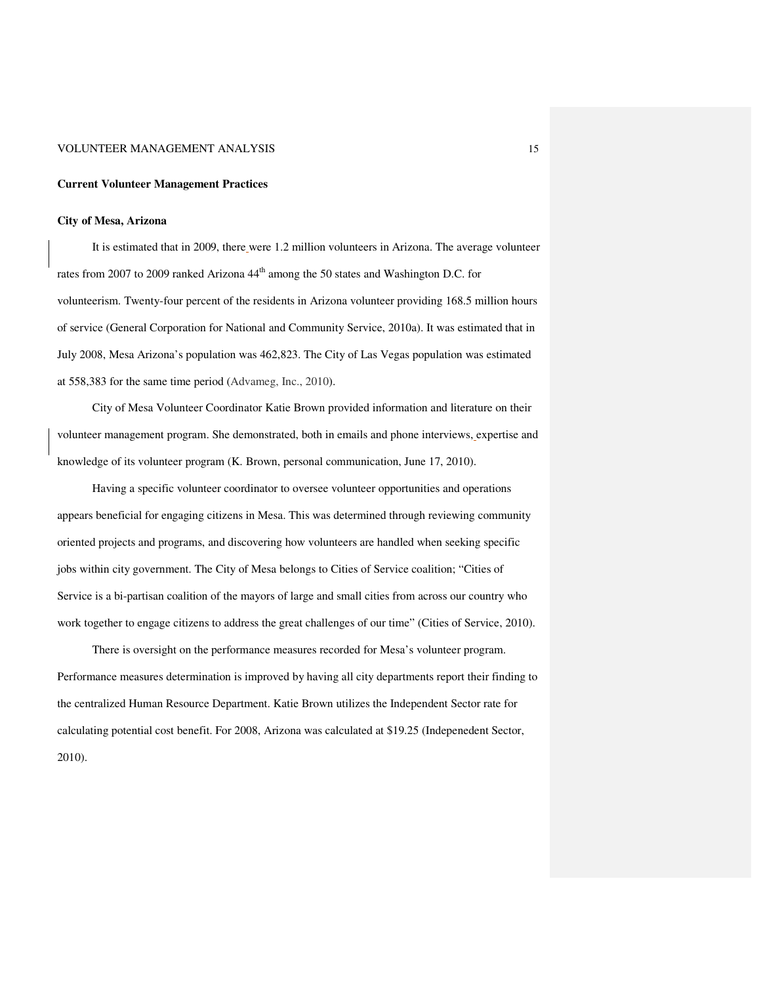#### **Current Volunteer Management Practices**

#### **City of Mesa, Arizona**

It is estimated that in 2009, there were 1.2 million volunteers in Arizona. The average volunteer rates from 2007 to 2009 ranked Arizona 44<sup>th</sup> among the 50 states and Washington D.C. for volunteerism. Twenty-four percent of the residents in Arizona volunteer providing 168.5 million hours of service (General Corporation for National and Community Service, 2010a). It was estimated that in July 2008, Mesa Arizona's population was 462,823. The City of Las Vegas population was estimated at 558,383 for the same time period (Advameg, Inc., 2010).

City of Mesa Volunteer Coordinator Katie Brown provided information and literature on their volunteer management program. She demonstrated, both in emails and phone interviews, expertise and knowledge of its volunteer program (K. Brown, personal communication, June 17, 2010).

Having a specific volunteer coordinator to oversee volunteer opportunities and operations appears beneficial for engaging citizens in Mesa. This was determined through reviewing community oriented projects and programs, and discovering how volunteers are handled when seeking specific jobs within city government. The City of Mesa belongs to Cities of Service coalition; "Cities of Service is a bi-partisan coalition of the mayors of large and small cities from across our country who work together to engage citizens to address the great challenges of our time" (Cities of Service, 2010).

There is oversight on the performance measures recorded for Mesa's volunteer program. Performance measures determination is improved by having all city departments report their finding to the centralized Human Resource Department. Katie Brown utilizes the Independent Sector rate for calculating potential cost benefit. For 2008, Arizona was calculated at \$19.25 (Indepenedent Sector, 2010).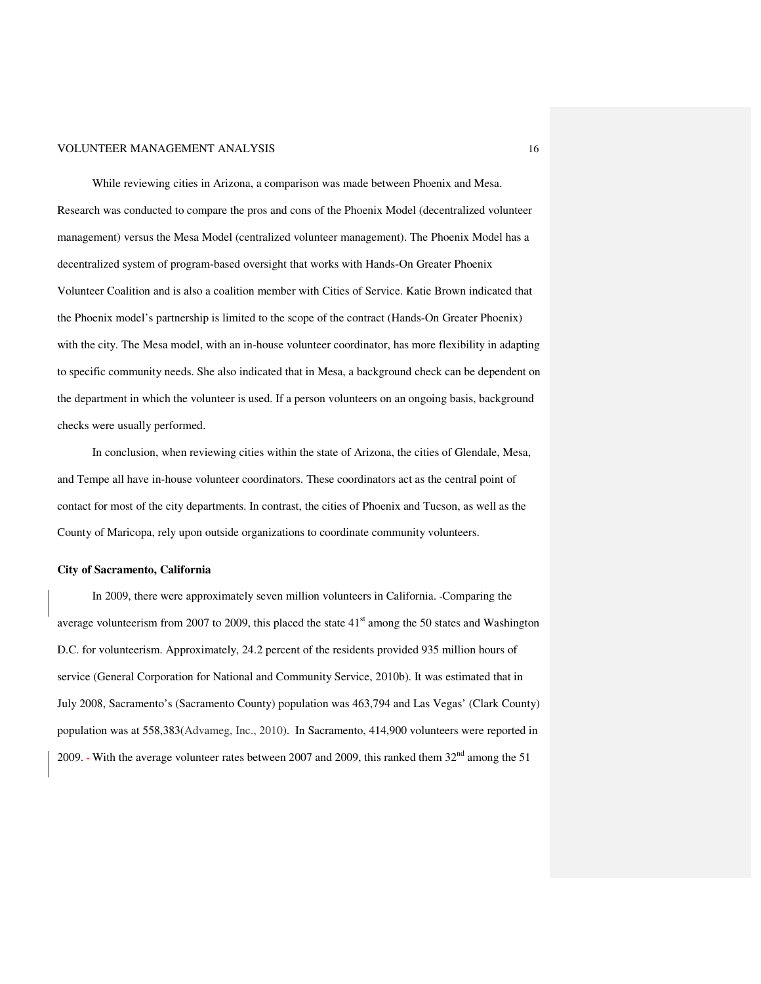While reviewing cities in Arizona, a comparison was made between Phoenix and Mesa. Research was conducted to compare the pros and cons of the Phoenix Model (decentralized volunteer management) versus the Mesa Model (centralized volunteer management). The Phoenix Model has a decentralized system of program-based oversight that works with Hands-On Greater Phoenix Volunteer Coalition and is also a coalition member with Cities of Service. Katie Brown indicated that the Phoenix model's partnership is limited to the scope of the contract (Hands-On Greater Phoenix) with the city. The Mesa model, with an in-house volunteer coordinator, has more flexibility in adapting to specific community needs. She also indicated that in Mesa, a background check can be dependent on the department in which the volunteer is used. If a person volunteers on an ongoing basis, background checks were usually performed.

In conclusion, when reviewing cities within the state of Arizona, the cities of Glendale, Mesa, and Tempe all have in-house volunteer coordinators. These coordinators act as the central point of contact for most of the city departments. In contrast, the cities of Phoenix and Tucson, as well as the County of Maricopa, rely upon outside organizations to coordinate community volunteers.

#### **City of Sacramento, California**

In 2009, there were approximately seven million volunteers in California. Comparing the average volunteerism from 2007 to 2009, this placed the state  $41<sup>st</sup>$  among the 50 states and Washington D.C. for volunteerism. Approximately, 24.2 percent of the residents provided 935 million hours of service (General Corporation for National and Community Service, 2010b). It was estimated that in July 2008, Sacramento's (Sacramento County) population was 463,794 and Las Vegas' (Clark County) population was at 558,383(Advameg, Inc., 2010). In Sacramento, 414,900 volunteers were reported in 2009. With the average volunteer rates between 2007 and 2009, this ranked them  $32<sup>nd</sup>$  among the 51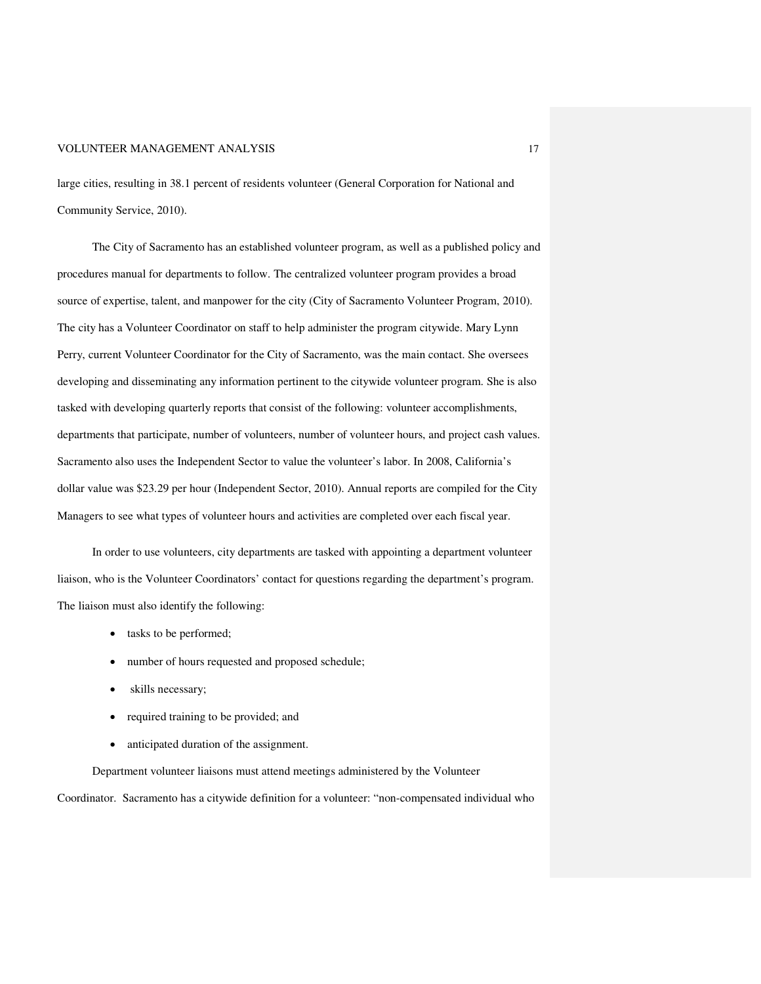large cities, resulting in 38.1 percent of residents volunteer (General Corporation for National and Community Service, 2010).

The City of Sacramento has an established volunteer program, as well as a published policy and procedures manual for departments to follow. The centralized volunteer program provides a broad source of expertise, talent, and manpower for the city (City of Sacramento Volunteer Program, 2010). The city has a Volunteer Coordinator on staff to help administer the program citywide. Mary Lynn Perry, current Volunteer Coordinator for the City of Sacramento, was the main contact. She oversees developing and disseminating any information pertinent to the citywide volunteer program. She is also tasked with developing quarterly reports that consist of the following: volunteer accomplishments, departments that participate, number of volunteers, number of volunteer hours, and project cash values. Sacramento also uses the Independent Sector to value the volunteer's labor. In 2008, California's dollar value was \$23.29 per hour (Independent Sector, 2010). Annual reports are compiled for the City Managers to see what types of volunteer hours and activities are completed over each fiscal year.

In order to use volunteers, city departments are tasked with appointing a department volunteer liaison, who is the Volunteer Coordinators' contact for questions regarding the department's program. The liaison must also identify the following:

- tasks to be performed;
- number of hours requested and proposed schedule;
- skills necessary;
- required training to be provided; and
- anticipated duration of the assignment.

Department volunteer liaisons must attend meetings administered by the Volunteer Coordinator. Sacramento has a citywide definition for a volunteer: "non-compensated individual who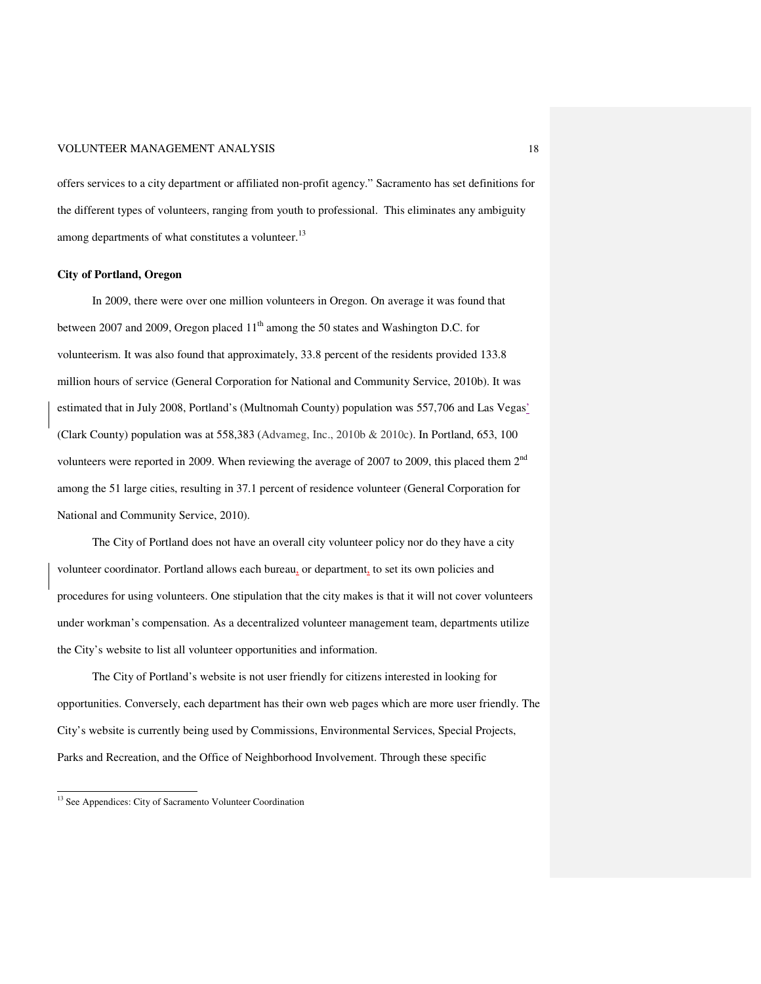offers services to a city department or affiliated non-profit agency." Sacramento has set definitions for the different types of volunteers, ranging from youth to professional. This eliminates any ambiguity among departments of what constitutes a volunteer.<sup>13</sup>

#### **City of Portland, Oregon**

In 2009, there were over one million volunteers in Oregon. On average it was found that between 2007 and 2009, Oregon placed 11<sup>th</sup> among the 50 states and Washington D.C. for volunteerism. It was also found that approximately, 33.8 percent of the residents provided 133.8 million hours of service (General Corporation for National and Community Service, 2010b). It was estimated that in July 2008, Portland's (Multnomah County) population was 557,706 and Las Vegas' (Clark County) population was at 558,383 (Advameg, Inc., 2010b & 2010c). In Portland, 653, 100 volunteers were reported in 2009. When reviewing the average of 2007 to 2009, this placed them 2nd among the 51 large cities, resulting in 37.1 percent of residence volunteer (General Corporation for National and Community Service, 2010).

The City of Portland does not have an overall city volunteer policy nor do they have a city volunteer coordinator. Portland allows each bureau, or department, to set its own policies and procedures for using volunteers. One stipulation that the city makes is that it will not cover volunteers under workman's compensation. As a decentralized volunteer management team, departments utilize the City's website to list all volunteer opportunities and information.

The City of Portland's website is not user friendly for citizens interested in looking for opportunities. Conversely, each department has their own web pages which are more user friendly. The City's website is currently being used by Commissions, Environmental Services, Special Projects, Parks and Recreation, and the Office of Neighborhood Involvement. Through these specific

<u>.</u>

<sup>&</sup>lt;sup>13</sup> See Appendices: City of Sacramento Volunteer Coordination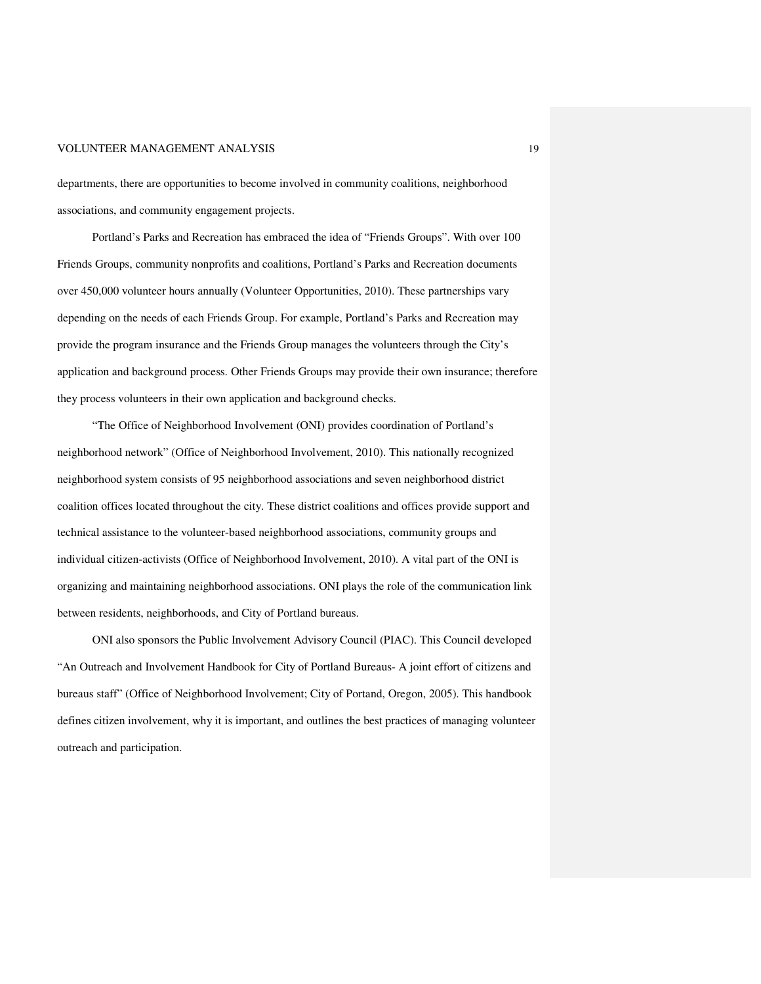departments, there are opportunities to become involved in community coalitions, neighborhood associations, and community engagement projects.

Portland's Parks and Recreation has embraced the idea of "Friends Groups". With over 100 Friends Groups, community nonprofits and coalitions, Portland's Parks and Recreation documents over 450,000 volunteer hours annually (Volunteer Opportunities, 2010). These partnerships vary depending on the needs of each Friends Group. For example, Portland's Parks and Recreation may provide the program insurance and the Friends Group manages the volunteers through the City's application and background process. Other Friends Groups may provide their own insurance; therefore they process volunteers in their own application and background checks.

"The Office of Neighborhood Involvement (ONI) provides coordination of Portland's neighborhood network" (Office of Neighborhood Involvement, 2010). This nationally recognized neighborhood system consists of 95 neighborhood associations and seven neighborhood district coalition offices located throughout the city. These district coalitions and offices provide support and technical assistance to the volunteer-based neighborhood associations, community groups and individual citizen-activists (Office of Neighborhood Involvement, 2010). A vital part of the ONI is organizing and maintaining neighborhood associations. ONI plays the role of the communication link between residents, neighborhoods, and City of Portland bureaus.

ONI also sponsors the Public Involvement Advisory Council (PIAC). This Council developed "An Outreach and Involvement Handbook for City of Portland Bureaus- A joint effort of citizens and bureaus staff" (Office of Neighborhood Involvement; City of Portand, Oregon, 2005). This handbook defines citizen involvement, why it is important, and outlines the best practices of managing volunteer outreach and participation.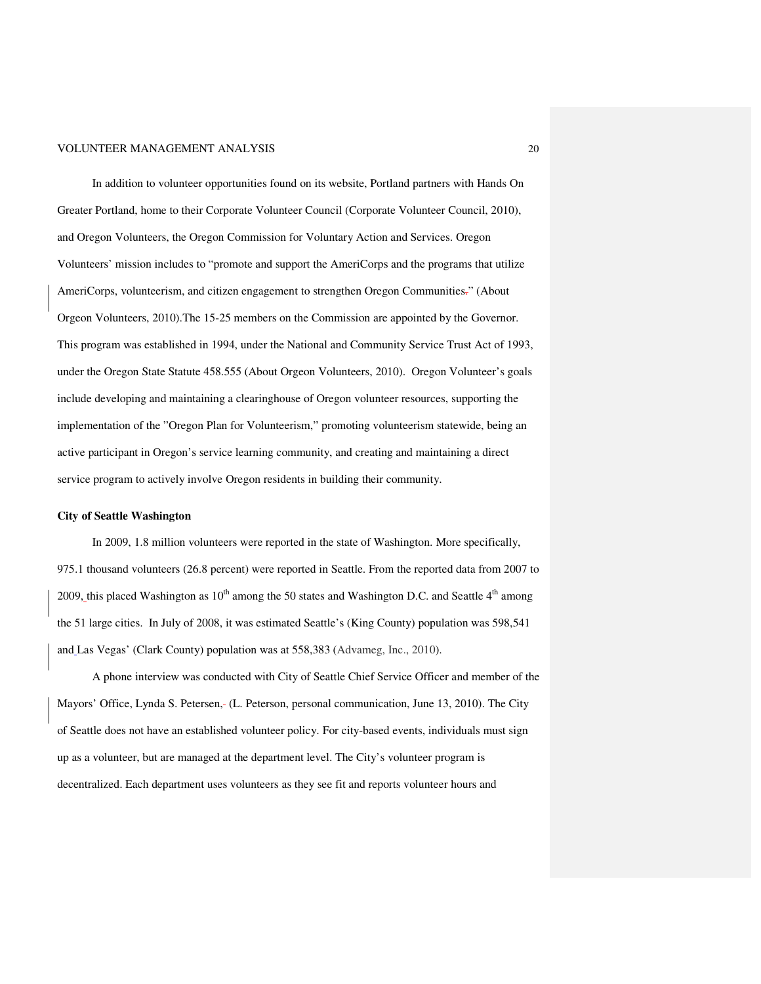In addition to volunteer opportunities found on its website, Portland partners with Hands On Greater Portland, home to their Corporate Volunteer Council (Corporate Volunteer Council, 2010), and Oregon Volunteers, the Oregon Commission for Voluntary Action and Services. Oregon Volunteers' mission includes to "promote and support the AmeriCorps and the programs that utilize AmeriCorps, volunteerism, and citizen engagement to strengthen Oregon Communities." (About Orgeon Volunteers, 2010).The 15-25 members on the Commission are appointed by the Governor. This program was established in 1994, under the National and Community Service Trust Act of 1993, under the Oregon State Statute 458.555 (About Orgeon Volunteers, 2010). Oregon Volunteer's goals include developing and maintaining a clearinghouse of Oregon volunteer resources, supporting the implementation of the "Oregon Plan for Volunteerism," promoting volunteerism statewide, being an active participant in Oregon's service learning community, and creating and maintaining a direct service program to actively involve Oregon residents in building their community.

#### **City of Seattle Washington**

In 2009, 1.8 million volunteers were reported in the state of Washington. More specifically, 975.1 thousand volunteers (26.8 percent) were reported in Seattle. From the reported data from 2007 to 2009, this placed Washington as  $10^{th}$  among the 50 states and Washington D.C. and Seattle  $4^{th}$  among the 51 large cities. In July of 2008, it was estimated Seattle's (King County) population was 598,541 and Las Vegas' (Clark County) population was at 558,383 (Advameg, Inc., 2010).

A phone interview was conducted with City of Seattle Chief Service Officer and member of the Mayors' Office, Lynda S. Petersen, (L. Peterson, personal communication, June 13, 2010). The City of Seattle does not have an established volunteer policy. For city-based events, individuals must sign up as a volunteer, but are managed at the department level. The City's volunteer program is decentralized. Each department uses volunteers as they see fit and reports volunteer hours and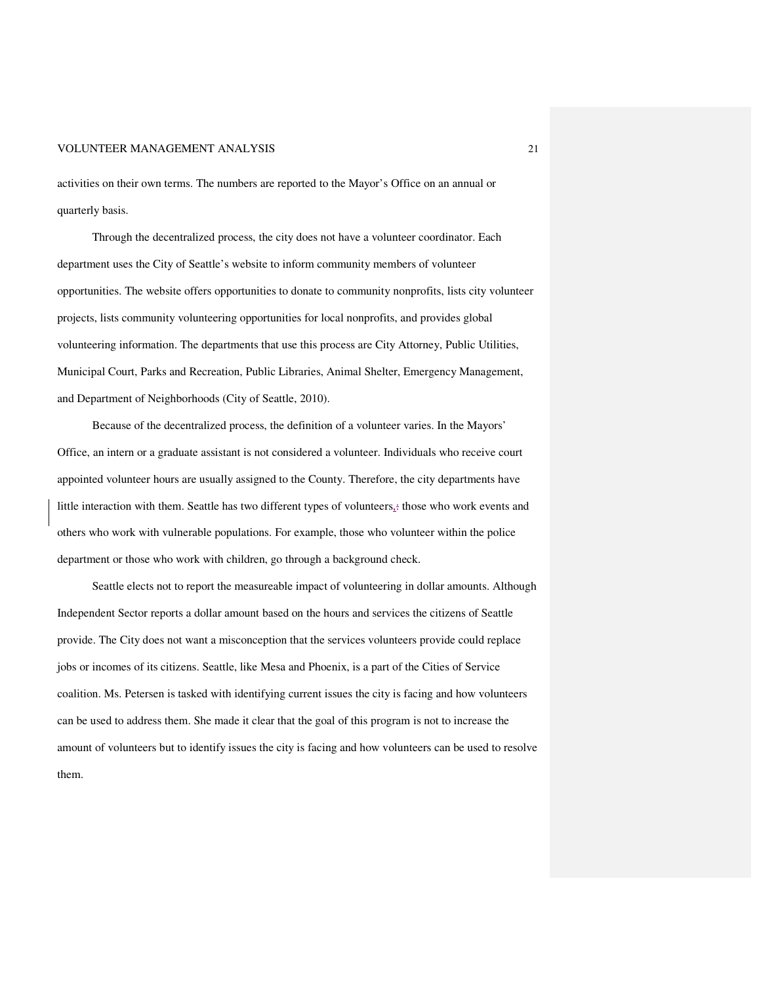activities on their own terms. The numbers are reported to the Mayor's Office on an annual or quarterly basis.

Through the decentralized process, the city does not have a volunteer coordinator. Each department uses the City of Seattle's website to inform community members of volunteer opportunities. The website offers opportunities to donate to community nonprofits, lists city volunteer projects, lists community volunteering opportunities for local nonprofits, and provides global volunteering information. The departments that use this process are City Attorney, Public Utilities, Municipal Court, Parks and Recreation, Public Libraries, Animal Shelter, Emergency Management, and Department of Neighborhoods (City of Seattle, 2010).

Because of the decentralized process, the definition of a volunteer varies. In the Mayors' Office, an intern or a graduate assistant is not considered a volunteer. Individuals who receive court appointed volunteer hours are usually assigned to the County. Therefore, the city departments have little interaction with them. Seattle has two different types of volunteers $\frac{1}{2}$  those who work events and others who work with vulnerable populations. For example, those who volunteer within the police department or those who work with children, go through a background check.

Seattle elects not to report the measureable impact of volunteering in dollar amounts. Although Independent Sector reports a dollar amount based on the hours and services the citizens of Seattle provide. The City does not want a misconception that the services volunteers provide could replace jobs or incomes of its citizens. Seattle, like Mesa and Phoenix, is a part of the Cities of Service coalition. Ms. Petersen is tasked with identifying current issues the city is facing and how volunteers can be used to address them. She made it clear that the goal of this program is not to increase the amount of volunteers but to identify issues the city is facing and how volunteers can be used to resolve them.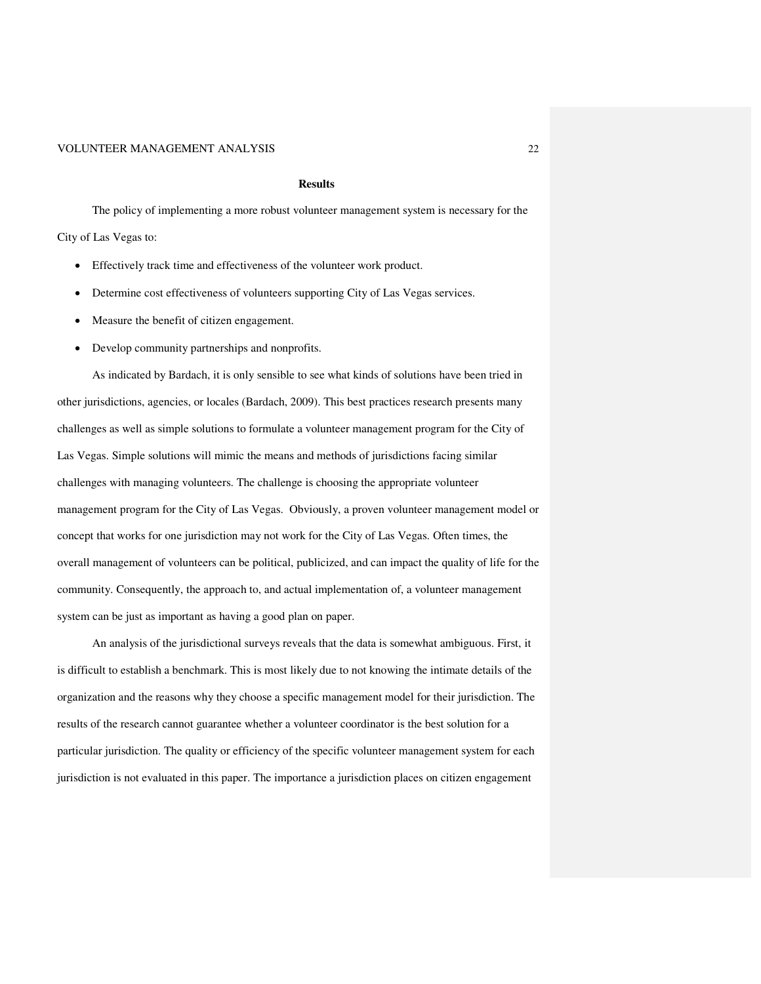#### **Results**

The policy of implementing a more robust volunteer management system is necessary for the City of Las Vegas to:

- Effectively track time and effectiveness of the volunteer work product.
- Determine cost effectiveness of volunteers supporting City of Las Vegas services.
- Measure the benefit of citizen engagement.
- Develop community partnerships and nonprofits.

As indicated by Bardach, it is only sensible to see what kinds of solutions have been tried in other jurisdictions, agencies, or locales (Bardach, 2009). This best practices research presents many challenges as well as simple solutions to formulate a volunteer management program for the City of Las Vegas. Simple solutions will mimic the means and methods of jurisdictions facing similar challenges with managing volunteers. The challenge is choosing the appropriate volunteer management program for the City of Las Vegas. Obviously, a proven volunteer management model or concept that works for one jurisdiction may not work for the City of Las Vegas. Often times, the overall management of volunteers can be political, publicized, and can impact the quality of life for the community. Consequently, the approach to, and actual implementation of, a volunteer management system can be just as important as having a good plan on paper.

An analysis of the jurisdictional surveys reveals that the data is somewhat ambiguous. First, it is difficult to establish a benchmark. This is most likely due to not knowing the intimate details of the organization and the reasons why they choose a specific management model for their jurisdiction. The results of the research cannot guarantee whether a volunteer coordinator is the best solution for a particular jurisdiction. The quality or efficiency of the specific volunteer management system for each jurisdiction is not evaluated in this paper. The importance a jurisdiction places on citizen engagement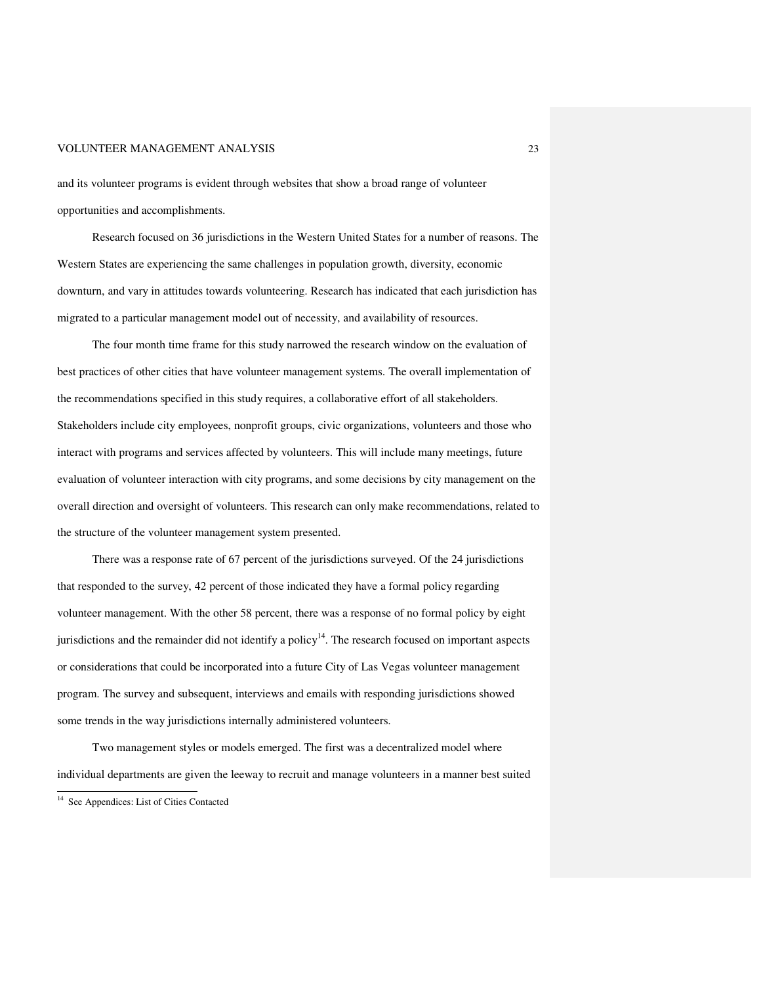and its volunteer programs is evident through websites that show a broad range of volunteer opportunities and accomplishments.

 Research focused on 36 jurisdictions in the Western United States for a number of reasons. The Western States are experiencing the same challenges in population growth, diversity, economic downturn, and vary in attitudes towards volunteering. Research has indicated that each jurisdiction has migrated to a particular management model out of necessity, and availability of resources.

The four month time frame for this study narrowed the research window on the evaluation of best practices of other cities that have volunteer management systems. The overall implementation of the recommendations specified in this study requires, a collaborative effort of all stakeholders. Stakeholders include city employees, nonprofit groups, civic organizations, volunteers and those who interact with programs and services affected by volunteers. This will include many meetings, future evaluation of volunteer interaction with city programs, and some decisions by city management on the overall direction and oversight of volunteers. This research can only make recommendations, related to the structure of the volunteer management system presented.

There was a response rate of 67 percent of the jurisdictions surveyed. Of the 24 jurisdictions that responded to the survey, 42 percent of those indicated they have a formal policy regarding volunteer management. With the other 58 percent, there was a response of no formal policy by eight jurisdictions and the remainder did not identify a policy<sup>14</sup>. The research focused on important aspects or considerations that could be incorporated into a future City of Las Vegas volunteer management program. The survey and subsequent, interviews and emails with responding jurisdictions showed some trends in the way jurisdictions internally administered volunteers.

Two management styles or models emerged. The first was a decentralized model where individual departments are given the leeway to recruit and manage volunteers in a manner best suited

<u>.</u>

<sup>&</sup>lt;sup>14</sup> See Appendices: List of Cities Contacted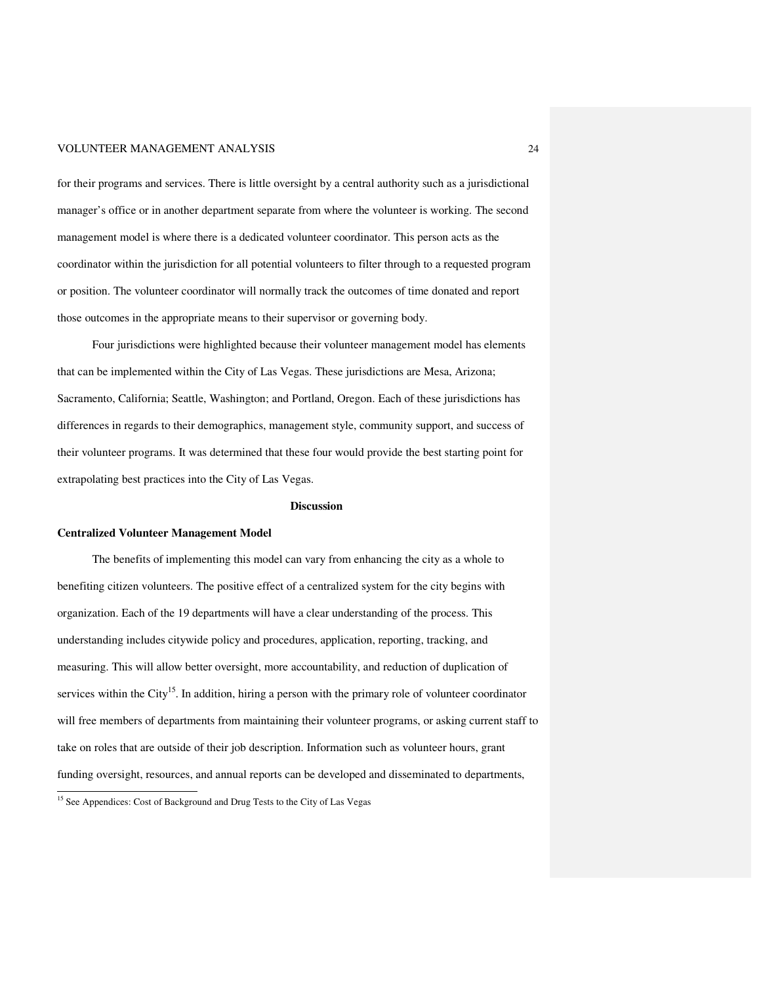for their programs and services. There is little oversight by a central authority such as a jurisdictional manager's office or in another department separate from where the volunteer is working. The second management model is where there is a dedicated volunteer coordinator. This person acts as the coordinator within the jurisdiction for all potential volunteers to filter through to a requested program or position. The volunteer coordinator will normally track the outcomes of time donated and report those outcomes in the appropriate means to their supervisor or governing body.

Four jurisdictions were highlighted because their volunteer management model has elements that can be implemented within the City of Las Vegas. These jurisdictions are Mesa, Arizona; Sacramento, California; Seattle, Washington; and Portland, Oregon. Each of these jurisdictions has differences in regards to their demographics, management style, community support, and success of their volunteer programs. It was determined that these four would provide the best starting point for extrapolating best practices into the City of Las Vegas.

#### **Discussion**

#### **Centralized Volunteer Management Model**

<u>.</u>

The benefits of implementing this model can vary from enhancing the city as a whole to benefiting citizen volunteers. The positive effect of a centralized system for the city begins with organization. Each of the 19 departments will have a clear understanding of the process. This understanding includes citywide policy and procedures, application, reporting, tracking, and measuring. This will allow better oversight, more accountability, and reduction of duplication of services within the City<sup>15</sup>. In addition, hiring a person with the primary role of volunteer coordinator will free members of departments from maintaining their volunteer programs, or asking current staff to take on roles that are outside of their job description. Information such as volunteer hours, grant funding oversight, resources, and annual reports can be developed and disseminated to departments,

<sup>&</sup>lt;sup>15</sup> See Appendices: Cost of Background and Drug Tests to the City of Las Vegas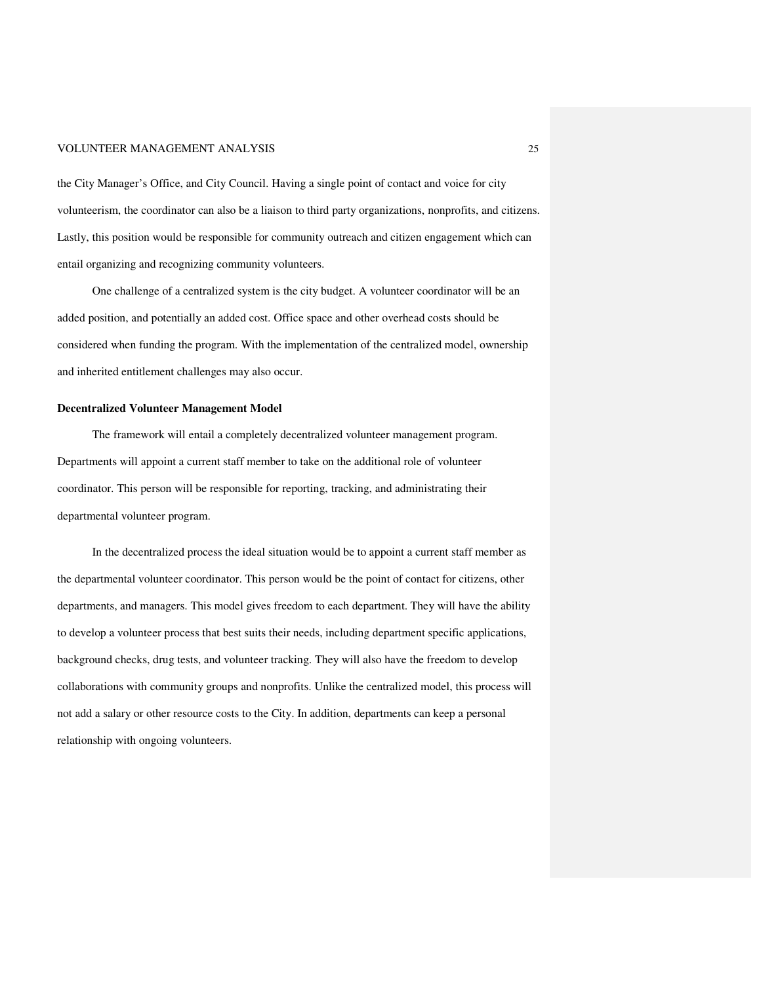the City Manager's Office, and City Council. Having a single point of contact and voice for city volunteerism, the coordinator can also be a liaison to third party organizations, nonprofits, and citizens. Lastly, this position would be responsible for community outreach and citizen engagement which can entail organizing and recognizing community volunteers.

One challenge of a centralized system is the city budget. A volunteer coordinator will be an added position, and potentially an added cost. Office space and other overhead costs should be considered when funding the program. With the implementation of the centralized model, ownership and inherited entitlement challenges may also occur.

#### **Decentralized Volunteer Management Model**

The framework will entail a completely decentralized volunteer management program. Departments will appoint a current staff member to take on the additional role of volunteer coordinator. This person will be responsible for reporting, tracking, and administrating their departmental volunteer program.

In the decentralized process the ideal situation would be to appoint a current staff member as the departmental volunteer coordinator. This person would be the point of contact for citizens, other departments, and managers. This model gives freedom to each department. They will have the ability to develop a volunteer process that best suits their needs, including department specific applications, background checks, drug tests, and volunteer tracking. They will also have the freedom to develop collaborations with community groups and nonprofits. Unlike the centralized model, this process will not add a salary or other resource costs to the City. In addition, departments can keep a personal relationship with ongoing volunteers.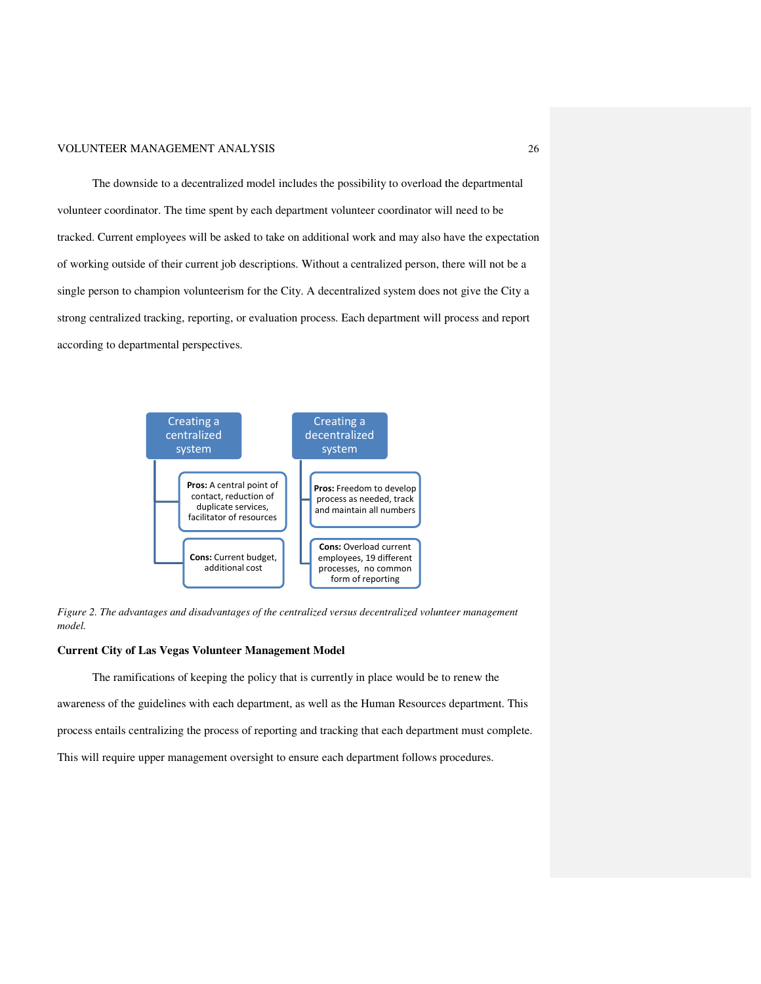#### VOLUNTEER MANAGEMENT ANALYSIS ANALYSIS

The downside to a decentralized model includes the possibility to overload the departmental volunteer coordinator. The time spent by each department volunteer coordinator will need to be volunteer coordinator. The time spent by each department volunteer coordinator will need to be<br>tracked. Current employees will be asked to take on additional work and may also have the expectation<br>of working outside of the of working outside of their current job descriptions. Without a centralized person, there will not be a single person to champion volunteerism for the City. A decentralized system does not give th strong centralized tracking, reporting, or evaluation process. Each department will process and report according to departmental perspectives. according to



*Figure 2. The advantages and disadvantages of the centralized versus decentralized volunteer manageme 2. The advantages disadvantages of The management model.* 

#### **Current City of Las Vegas Volunteer Management Model**

The ramifications of keeping the policy that is currently in place would be to renew the awareness of the guidelines with each department, as well as the Human Resources department. This awareness of the guidelines with each department, as well as the Human Resources department. This<br>process entails centralizing the process of reporting and tracking that each department must complete. This will require upper management oversight to ensure each department follows procedures.

26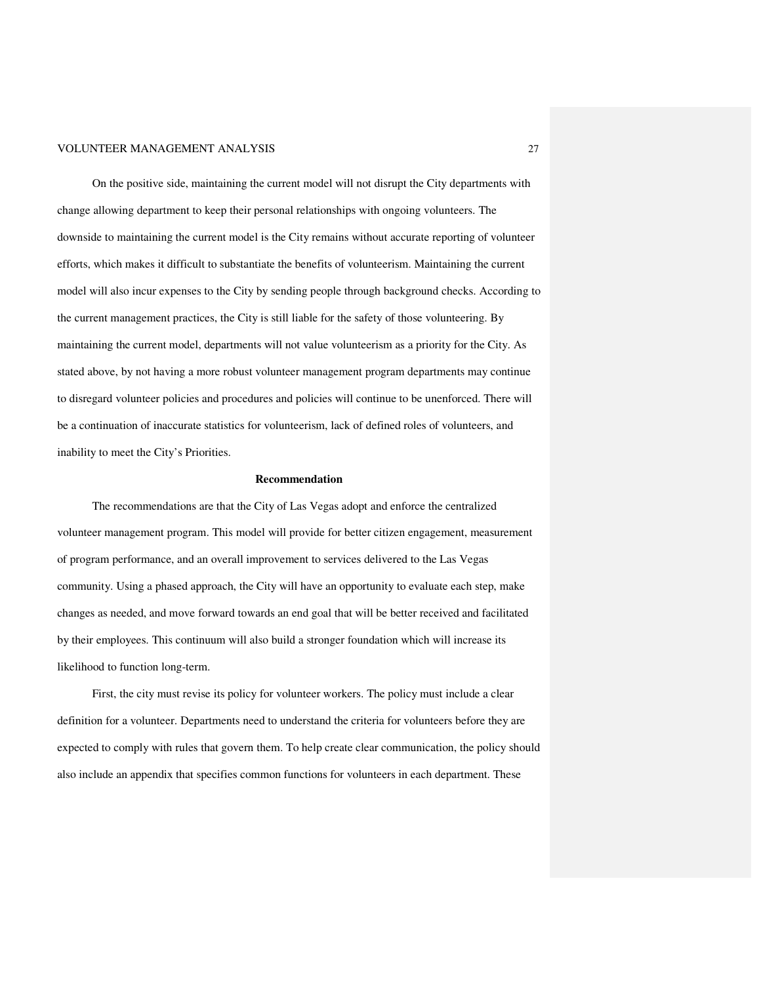On the positive side, maintaining the current model will not disrupt the City departments with change allowing department to keep their personal relationships with ongoing volunteers. The downside to maintaining the current model is the City remains without accurate reporting of volunteer efforts, which makes it difficult to substantiate the benefits of volunteerism. Maintaining the current model will also incur expenses to the City by sending people through background checks. According to the current management practices, the City is still liable for the safety of those volunteering. By maintaining the current model, departments will not value volunteerism as a priority for the City. As stated above, by not having a more robust volunteer management program departments may continue to disregard volunteer policies and procedures and policies will continue to be unenforced. There will be a continuation of inaccurate statistics for volunteerism, lack of defined roles of volunteers, and inability to meet the City's Priorities.

#### **Recommendation**

 The recommendations are that the City of Las Vegas adopt and enforce the centralized volunteer management program. This model will provide for better citizen engagement, measurement of program performance, and an overall improvement to services delivered to the Las Vegas community. Using a phased approach, the City will have an opportunity to evaluate each step, make changes as needed, and move forward towards an end goal that will be better received and facilitated by their employees. This continuum will also build a stronger foundation which will increase its likelihood to function long-term.

 First, the city must revise its policy for volunteer workers. The policy must include a clear definition for a volunteer. Departments need to understand the criteria for volunteers before they are expected to comply with rules that govern them. To help create clear communication, the policy should also include an appendix that specifies common functions for volunteers in each department. These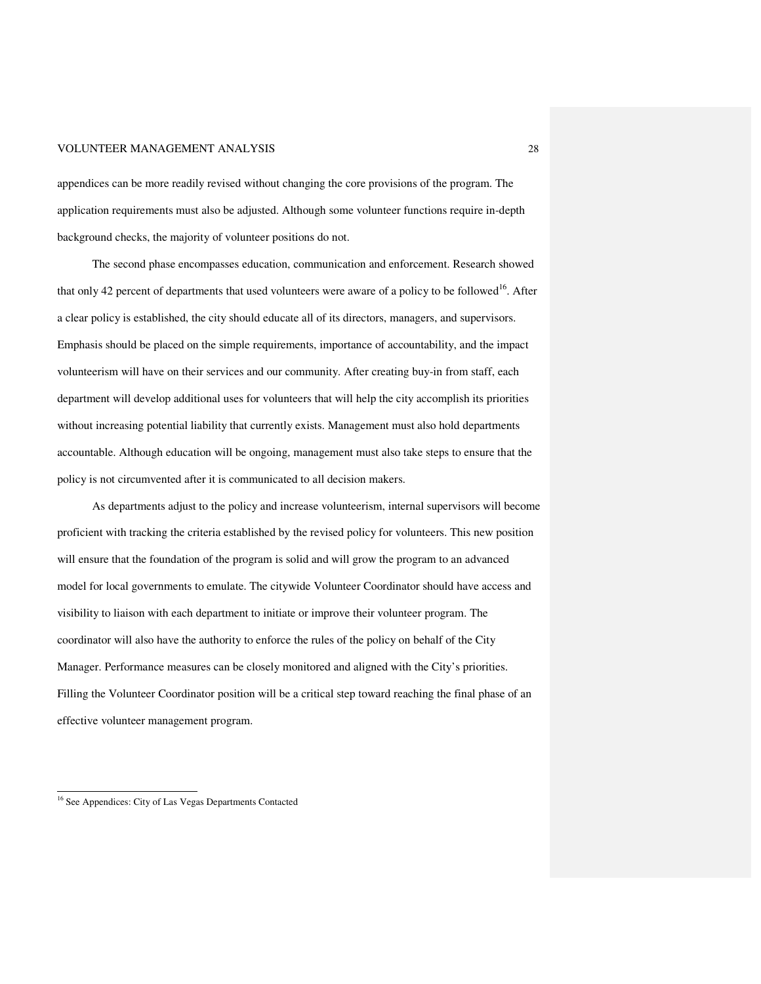appendices can be more readily revised without changing the core provisions of the program. The application requirements must also be adjusted. Although some volunteer functions require in-depth background checks, the majority of volunteer positions do not.

 The second phase encompasses education, communication and enforcement. Research showed that only 42 percent of departments that used volunteers were aware of a policy to be followed<sup>16</sup>. After a clear policy is established, the city should educate all of its directors, managers, and supervisors. Emphasis should be placed on the simple requirements, importance of accountability, and the impact volunteerism will have on their services and our community. After creating buy-in from staff, each department will develop additional uses for volunteers that will help the city accomplish its priorities without increasing potential liability that currently exists. Management must also hold departments accountable. Although education will be ongoing, management must also take steps to ensure that the policy is not circumvented after it is communicated to all decision makers.

 As departments adjust to the policy and increase volunteerism, internal supervisors will become proficient with tracking the criteria established by the revised policy for volunteers. This new position will ensure that the foundation of the program is solid and will grow the program to an advanced model for local governments to emulate. The citywide Volunteer Coordinator should have access and visibility to liaison with each department to initiate or improve their volunteer program. The coordinator will also have the authority to enforce the rules of the policy on behalf of the City Manager. Performance measures can be closely monitored and aligned with the City's priorities. Filling the Volunteer Coordinator position will be a critical step toward reaching the final phase of an effective volunteer management program.

<u>.</u>

<sup>&</sup>lt;sup>16</sup> See Appendices: City of Las Vegas Departments Contacted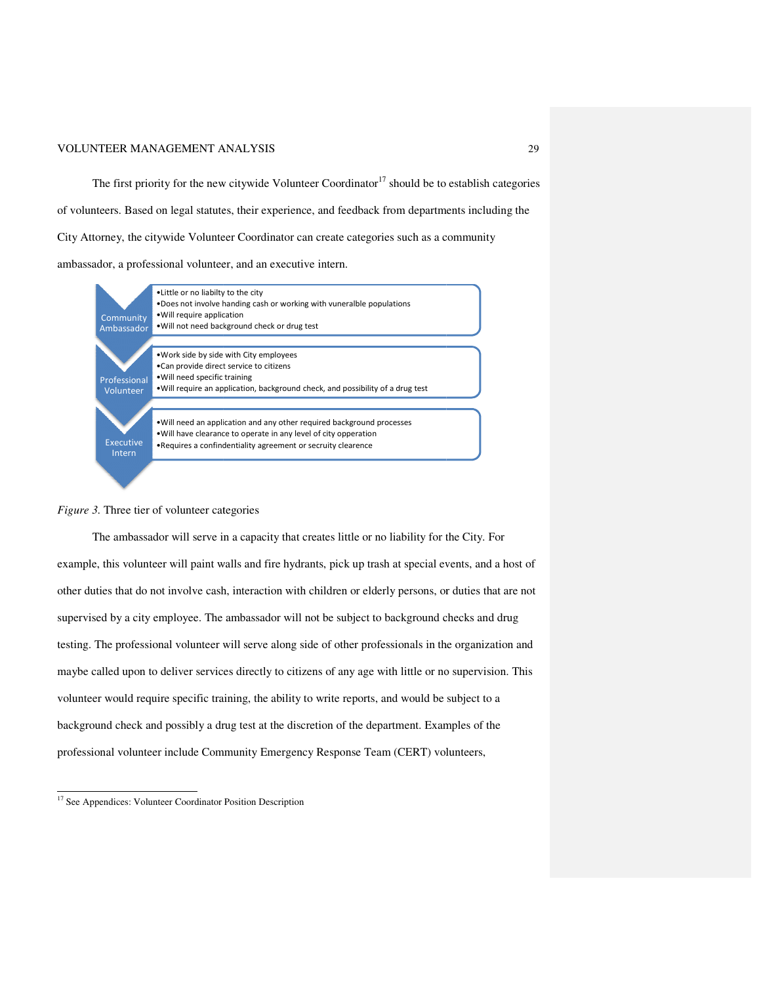#### VOLUNTEER MANAGEMENT ANALYSIS ANALYSIS

The first priority for the new citywide Volunteer Coordinator<sup>17</sup> should be to establish categories The first priority for the new citywide Volunteer Coordinator<sup>17</sup> should be to establish categorie<br>of volunteers. Based on legal statutes, their experience, and feedback from departments including the City Attorney, the citywide Volunteer Coordinator can create categories such as a community ambassador, a professional volunteer, and an executive intern.



#### *Figure 3.* Three tier of volunteer categories

The ambassador will serve in a capacity that creates little or no liability for the City. For example, this volunteer will paint walls and fire hydrants, pick up trash at special events, and a host of other duties that do not involve cash, interaction with children or elderly persons, or duties that are not The ambassador will serve in a capacity that creates little or no liability for the City. For<br>example, this volunteer will paint walls and fire hydrants, pick up trash at special events, and a host<br>other duties that do not testing. The professional volunteer will serve along side of other professionals in the organization and maybe called upon to deliver services directly to citizens of any age with little or no supervision. Thi volunteer would require specific training, the ability to write reports, and would be subject to a background check and possibly a drug test at the discretion of the department. Examples of the professional volunteer include Community Emergency Response Team (CERT) volunteers, maybe called upon to deliver services directly to citizens of any age with little or no supervis<br>volunteer would require specific training, the ability to write reports, and would be subject to<br>background check and possibl 29<br>
19 for the new citywide Volunteer Coordinator<sup>17</sup> should be to establish categories<br>
10 for the new citywide Volunteer coordinator can create categories such as a community<br>
19 for the Dolunteer Coordinator can create teer will paint walls and fire hydrants, pick up trash at special events, and a host of<br>not involve cash, interaction with children or elderly persons, or duties that are not<br>v employee. The ambassador will not be subject possibly

 $\overline{a}$ 

<sup>&</sup>lt;sup>17</sup> See Appendices: Volunteer Coordinator Position Description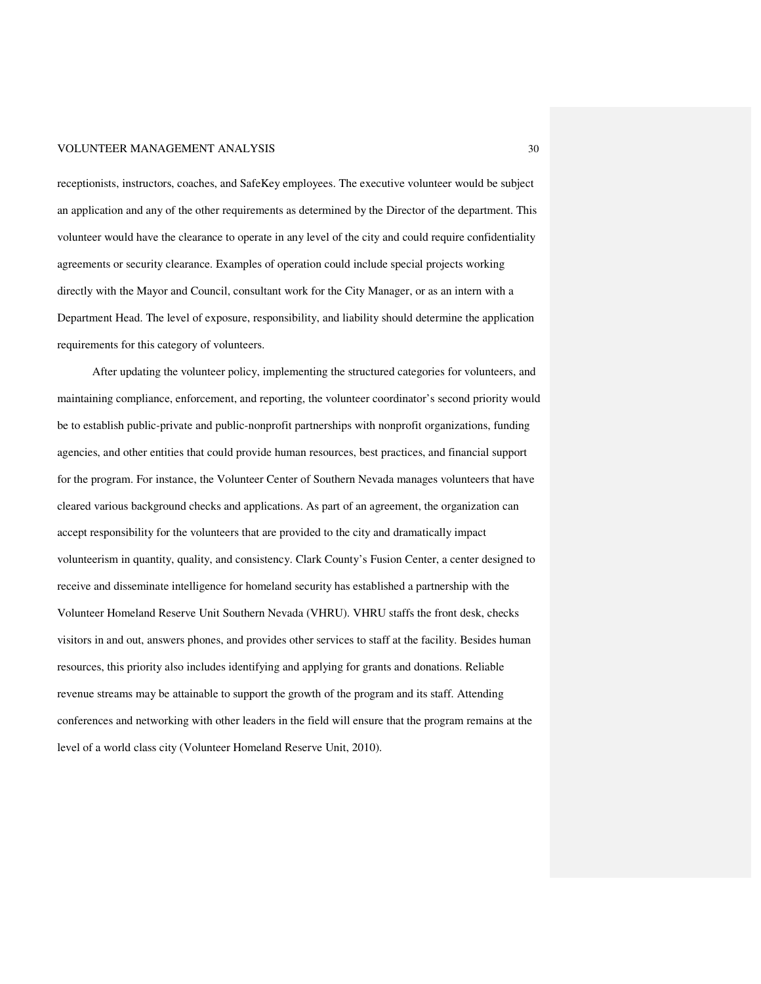receptionists, instructors, coaches, and SafeKey employees. The executive volunteer would be subject an application and any of the other requirements as determined by the Director of the department. This volunteer would have the clearance to operate in any level of the city and could require confidentiality agreements or security clearance. Examples of operation could include special projects working directly with the Mayor and Council, consultant work for the City Manager, or as an intern with a Department Head. The level of exposure, responsibility, and liability should determine the application requirements for this category of volunteers.

 After updating the volunteer policy, implementing the structured categories for volunteers, and maintaining compliance, enforcement, and reporting, the volunteer coordinator's second priority would be to establish public-private and public-nonprofit partnerships with nonprofit organizations, funding agencies, and other entities that could provide human resources, best practices, and financial support for the program. For instance, the Volunteer Center of Southern Nevada manages volunteers that have cleared various background checks and applications. As part of an agreement, the organization can accept responsibility for the volunteers that are provided to the city and dramatically impact volunteerism in quantity, quality, and consistency. Clark County's Fusion Center, a center designed to receive and disseminate intelligence for homeland security has established a partnership with the Volunteer Homeland Reserve Unit Southern Nevada (VHRU). VHRU staffs the front desk, checks visitors in and out, answers phones, and provides other services to staff at the facility. Besides human resources, this priority also includes identifying and applying for grants and donations. Reliable revenue streams may be attainable to support the growth of the program and its staff. Attending conferences and networking with other leaders in the field will ensure that the program remains at the level of a world class city (Volunteer Homeland Reserve Unit, 2010).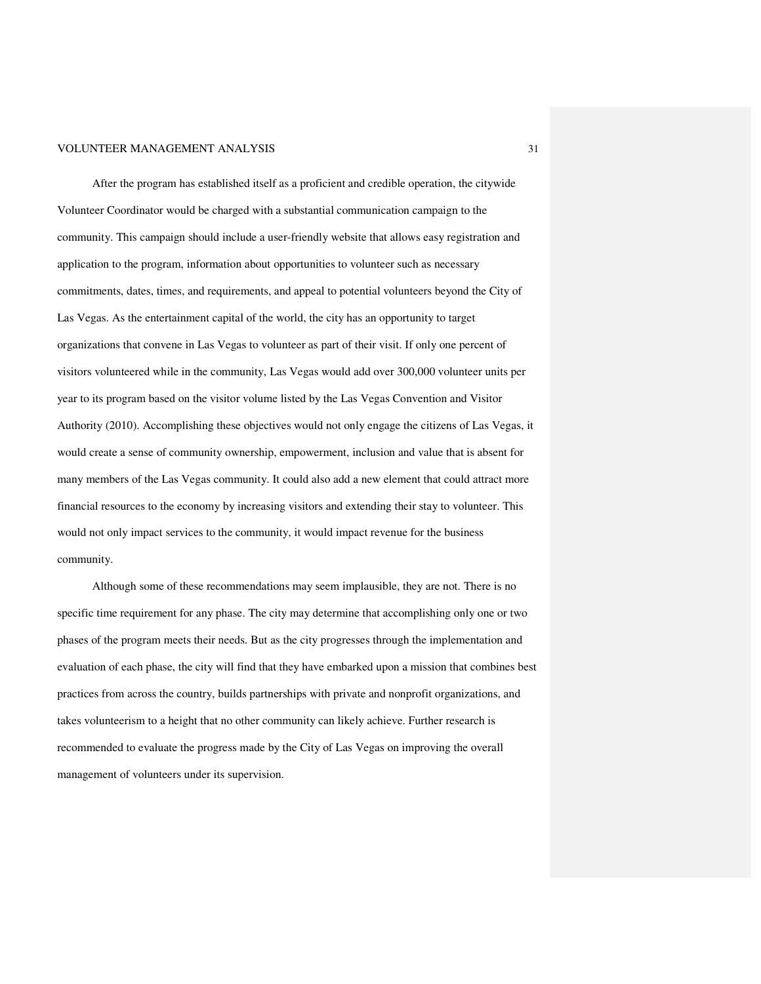After the program has established itself as a proficient and credible operation, the citywide Volunteer Coordinator would be charged with a substantial communication campaign to the community. This campaign should include a user-friendly website that allows easy registration and application to the program, information about opportunities to volunteer such as necessary commitments, dates, times, and requirements, and appeal to potential volunteers beyond the City of Las Vegas. As the entertainment capital of the world, the city has an opportunity to target organizations that convene in Las Vegas to volunteer as part of their visit. If only one percent of visitors volunteered while in the community, Las Vegas would add over 300,000 volunteer units per year to its program based on the visitor volume listed by the Las Vegas Convention and Visitor Authority (2010). Accomplishing these objectives would not only engage the citizens of Las Vegas, it would create a sense of community ownership, empowerment, inclusion and value that is absent for many members of the Las Vegas community. It could also add a new element that could attract more financial resources to the economy by increasing visitors and extending their stay to volunteer. This would not only impact services to the community, it would impact revenue for the business community.

Although some of these recommendations may seem implausible, they are not. There is no specific time requirement for any phase. The city may determine that accomplishing only one or two phases of the program meets their needs. But as the city progresses through the implementation and evaluation of each phase, the city will find that they have embarked upon a mission that combines best practices from across the country, builds partnerships with private and nonprofit organizations, and takes volunteerism to a height that no other community can likely achieve. Further research is recommended to evaluate the progress made by the City of Las Vegas on improving the overall management of volunteers under its supervision.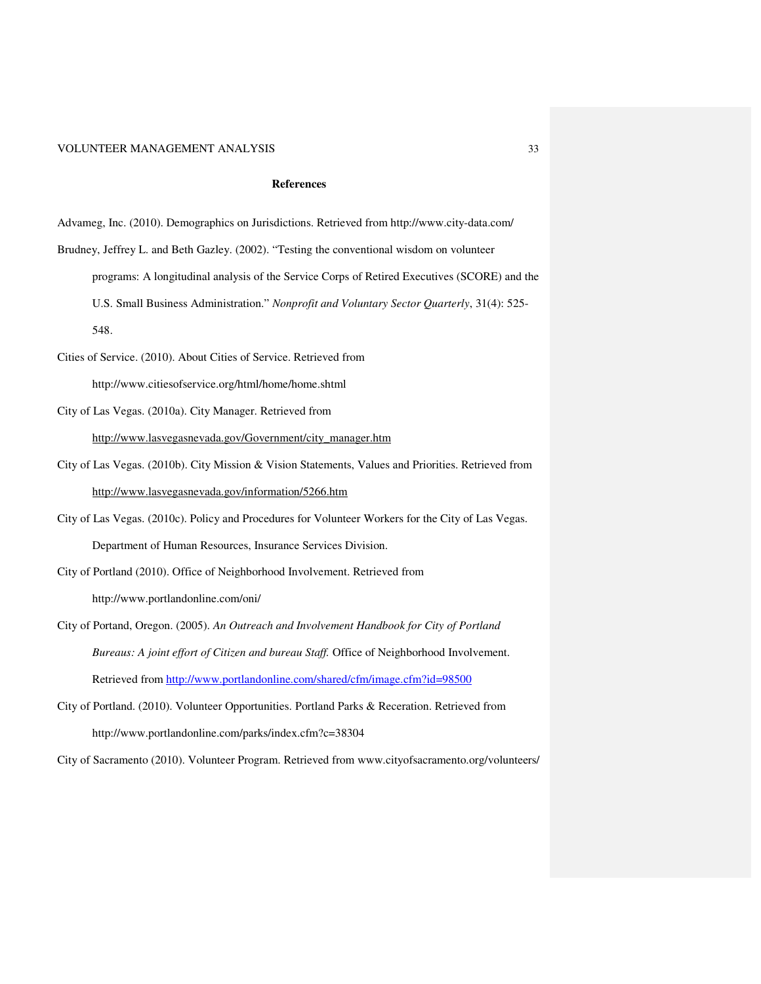#### **References**

Advameg, Inc. (2010). Demographics on Jurisdictions. Retrieved from http://www.city-data.com/

Brudney, Jeffrey L. and Beth Gazley. (2002). "Testing the conventional wisdom on volunteer programs: A longitudinal analysis of the Service Corps of Retired Executives (SCORE) and the U.S. Small Business Administration." *Nonprofit and Voluntary Sector Quarterly*, 31(4): 525-

548.

Cities of Service. (2010). About Cities of Service. Retrieved from

http://www.citiesofservice.org/html/home/home.shtml

City of Las Vegas. (2010a). City Manager. Retrieved from

http://www.lasvegasnevada.gov/Government/city\_manager.htm

- City of Las Vegas. (2010b). City Mission & Vision Statements, Values and Priorities. Retrieved from http://www.lasvegasnevada.gov/information/5266.htm
- City of Las Vegas. (2010c). Policy and Procedures for Volunteer Workers for the City of Las Vegas. Department of Human Resources, Insurance Services Division.

City of Portland (2010). Office of Neighborhood Involvement. Retrieved from

http://www.portlandonline.com/oni/

- City of Portand, Oregon. (2005). *An Outreach and Involvement Handbook for City of Portland Bureaus: A joint effort of Citizen and bureau Staff.* Office of Neighborhood Involvement. Retrieved from http://www.portlandonline.com/shared/cfm/image.cfm?id=98500
- City of Portland. (2010). Volunteer Opportunities. Portland Parks & Receration. Retrieved from http://www.portlandonline.com/parks/index.cfm?c=38304

City of Sacramento (2010). Volunteer Program. Retrieved from www.cityofsacramento.org/volunteers/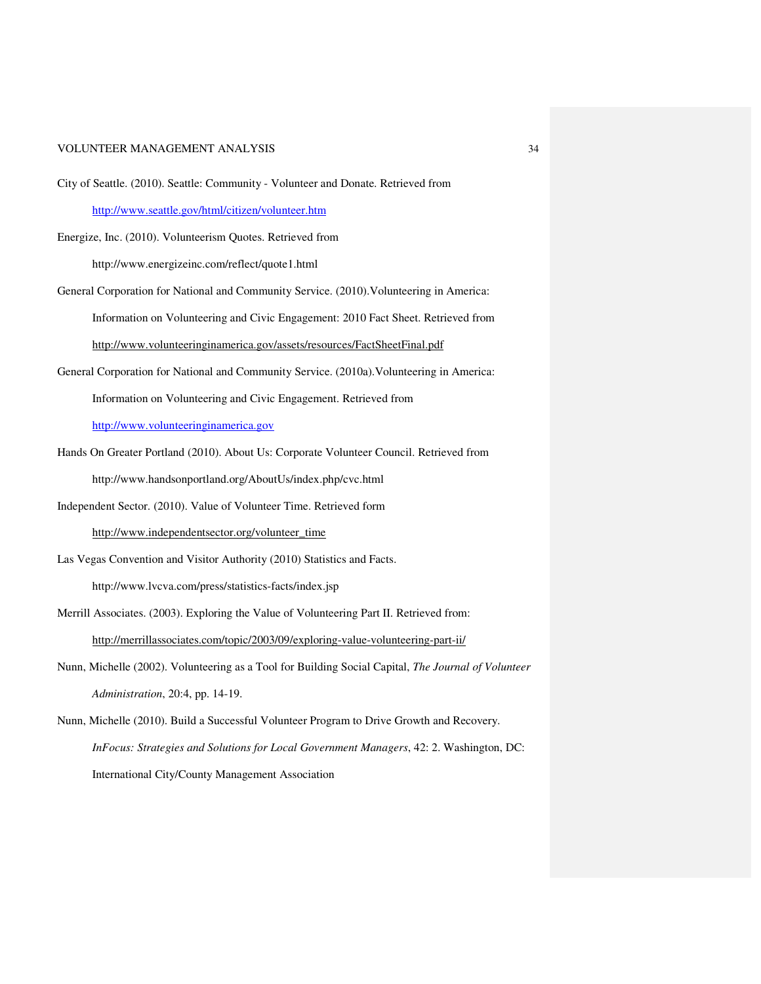- City of Seattle. (2010). Seattle: Community Volunteer and Donate. Retrieved from http://www.seattle.gov/html/citizen/volunteer.htm
- Energize, Inc. (2010). Volunteerism Quotes. Retrieved from http://www.energizeinc.com/reflect/quote1.html
- General Corporation for National and Community Service. (2010).Volunteering in America: Information on Volunteering and Civic Engagement: 2010 Fact Sheet. Retrieved from http://www.volunteeringinamerica.gov/assets/resources/FactSheetFinal.pdf
- General Corporation for National and Community Service. (2010a).Volunteering in America: Information on Volunteering and Civic Engagement. Retrieved from

http://www.volunteeringinamerica.gov

- Hands On Greater Portland (2010). About Us: Corporate Volunteer Council. Retrieved from http://www.handsonportland.org/AboutUs/index.php/cvc.html
- Independent Sector. (2010). Value of Volunteer Time. Retrieved form

http://www.independentsector.org/volunteer\_time

Las Vegas Convention and Visitor Authority (2010) Statistics and Facts. http://www.lvcva.com/press/statistics-facts/index.jsp

- Merrill Associates. (2003). Exploring the Value of Volunteering Part II. Retrieved from: http://merrillassociates.com/topic/2003/09/exploring-value-volunteering-part-ii/
- Nunn, Michelle (2002). Volunteering as a Tool for Building Social Capital, *The Journal of Volunteer Administration*, 20:4, pp. 14-19.
- Nunn, Michelle (2010). Build a Successful Volunteer Program to Drive Growth and Recovery. *InFocus: Strategies and Solutions for Local Government Managers*, 42: 2. Washington, DC: International City/County Management Association